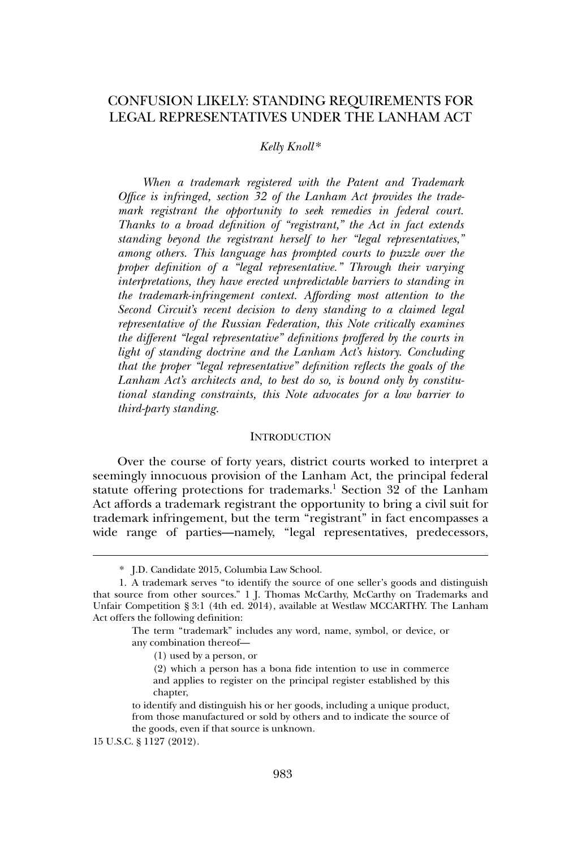# CONFUSION LIKELY: STANDING REQUIREMENTS FOR LEGAL REPRESENTATIVES UNDER THE LANHAM ACT

### *Kelly Knoll* \*

*When a trademark registered with the Patent and Trademark Office is infringed, section 32 of the Lanham Act provides the trademark registrant the opportunity to seek remedies in federal court. Thanks to a broad definition of "registrant," the Act in fact extends standing beyond the registrant herself to her "legal representatives," among others. This language has prompted courts to puzzle over the proper definition of a "legal representative." Through their varying interpretations, they have erected unpredictable barriers to standing in the trademark-infringement context. Affording most attention to the Second Circuit's recent decision to deny standing to a claimed legal representative of the Russian Federation, this Note critically examines the different "legal representative" definitions proffered by the courts in light of standing doctrine and the Lanham Act's history. Concluding that the proper "legal representative" definition reflects the goals of the Lanham Act's architects and, to best do so, is bound only by constitutional standing constraints, this Note advocates for a low barrier to third-party standing.*

### **INTRODUCTION**

Over the course of forty years, district courts worked to interpret a seemingly innocuous provision of the Lanham Act, the principal federal statute offering protections for trademarks.<sup>1</sup> Section 32 of the Lanham Act affords a trademark registrant the opportunity to bring a civil suit for trademark infringement, but the term "registrant" in fact encompasses a wide range of parties—namely, "legal representatives, predecessors,

- (1) used by a person, or
- (2) which a person has a bona fide intention to use in commerce and applies to register on the principal register established by this chapter,

15 U.S.C. § 1127 (2012).

<sup>\*.</sup> J.D. Candidate 2015, Columbia Law School.

<sup>1.</sup> A trademark serves "to identify the source of one seller's goods and distinguish that source from other sources." 1 J. Thomas McCarthy, McCarthy on Trademarks and Unfair Competition § 3:1 (4th ed. 2014), available at Westlaw MCCARTHY. The Lanham Act offers the following definition:

The term "trademark" includes any word, name, symbol, or device, or any combination thereof—

to identify and distinguish his or her goods, including a unique product, from those manufactured or sold by others and to indicate the source of the goods, even if that source is unknown.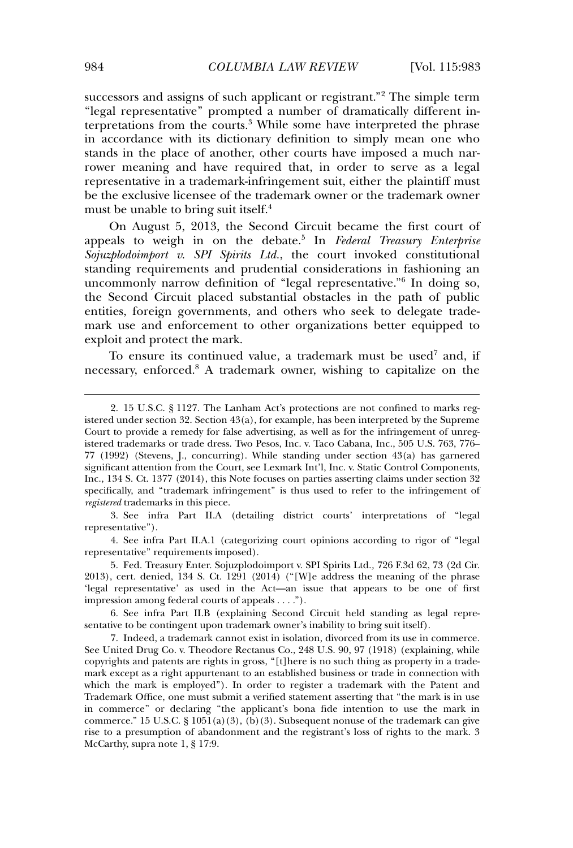successors and assigns of such applicant or registrant." <sup>2</sup> The simple term "legal representative" prompted a number of dramatically different interpretations from the courts.<sup>3</sup> While some have interpreted the phrase in accordance with its dictionary definition to simply mean one who stands in the place of another, other courts have imposed a much narrower meaning and have required that, in order to serve as a legal representative in a trademark-infringement suit, either the plaintiff must be the exclusive licensee of the trademark owner or the trademark owner must be unable to bring suit itself.<sup>4</sup>

On August 5, 2013, the Second Circuit became the first court of appeals to weigh in on the debate.<sup>5</sup> In *Federal Treasury Enterprise Sojuzplodoimport v. SPI Spirits Ltd.*, the court invoked constitutional standing requirements and prudential considerations in fashioning an uncommonly narrow definition of "legal representative." 6 In doing so, the Second Circuit placed substantial obstacles in the path of public entities, foreign governments, and others who seek to delegate trademark use and enforcement to other organizations better equipped to exploit and protect the mark.

To ensure its continued value, a trademark must be used<sup>7</sup> and, if necessary, enforced.<sup>8</sup> A trademark owner, wishing to capitalize on the

3. See infra Part II.A (detailing district courts' interpretations of "legal representative").

4. See infra Part II.A.1 (categorizing court opinions according to rigor of "legal representative" requirements imposed).

5. Fed. Treasury Enter. Sojuzplodoimport v. SPI Spirits Ltd.*,* 726 F.3d 62, 73 (2d Cir. 2013), cert. denied, 134 S. Ct. 1291 (2014) ("[W]e address the meaning of the phrase 'legal representative' as used in the Act—an issue that appears to be one of first impression among federal courts of appeals . . . .").

6. See infra Part II.B (explaining Second Circuit held standing as legal representative to be contingent upon trademark owner's inability to bring suit itself).

7. Indeed, a trademark cannot exist in isolation, divorced from its use in commerce. See United Drug Co. v. Theodore Rectanus Co., 248 U.S. 90, 97 (1918) (explaining, while copyrights and patents are rights in gross, "[t]here is no such thing as property in a trademark except as a right appurtenant to an established business or trade in connection with which the mark is employed"). In order to register a trademark with the Patent and Trademark Office, one must submit a verified statement asserting that "the mark is in use in commerce" or declaring "the applicant's bona fide intention to use the mark in commerce." 15 U.S.C.  $\S$  1051(a)(3), (b)(3). Subsequent nonuse of the trademark can give rise to a presumption of abandonment and the registrant's loss of rights to the mark. 3 McCarthy, supra note 1, § 17:9.

<sup>2. 15</sup> U.S.C. § 1127. The Lanham Act's protections are not confined to marks registered under section 32. Section 43(a), for example, has been interpreted by the Supreme Court to provide a remedy for false advertising, as well as for the infringement of unregistered trademarks or trade dress. Two Pesos, Inc. v. Taco Cabana, Inc., 505 U.S. 763, 776– 77 (1992) (Stevens, J., concurring). While standing under section 43(a) has garnered significant attention from the Court, see Lexmark Int'l, Inc. v. Static Control Components, Inc., 134 S. Ct. 1377 (2014), this Note focuses on parties asserting claims under section 32 specifically, and "trademark infringement" is thus used to refer to the infringement of *registered* trademarks in this piece.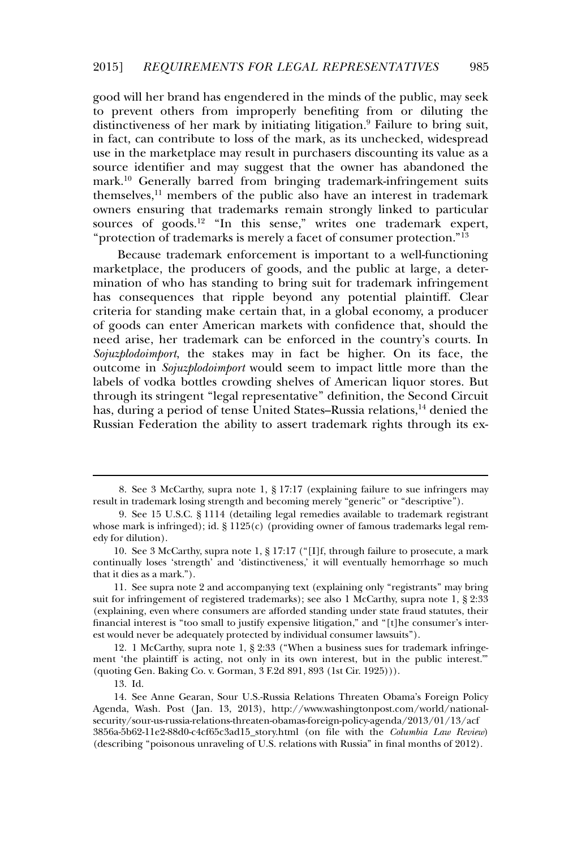good will her brand has engendered in the minds of the public, may seek to prevent others from improperly benefiting from or diluting the distinctiveness of her mark by initiating litigation.<sup>9</sup> Failure to bring suit, in fact, can contribute to loss of the mark, as its unchecked, widespread use in the marketplace may result in purchasers discounting its value as a source identifier and may suggest that the owner has abandoned the mark.<sup>10</sup> Generally barred from bringing trademark-infringement suits themselves, $<sup>11</sup>$  members of the public also have an interest in trademark</sup> owners ensuring that trademarks remain strongly linked to particular sources of goods.<sup>12</sup> "In this sense," writes one trademark expert, "protection of trademarks is merely a facet of consumer protection." 13

Because trademark enforcement is important to a well-functioning marketplace, the producers of goods, and the public at large, a determination of who has standing to bring suit for trademark infringement has consequences that ripple beyond any potential plaintiff. Clear criteria for standing make certain that, in a global economy, a producer of goods can enter American markets with confidence that, should the need arise, her trademark can be enforced in the country's courts. In *Sojuzplodoimport*, the stakes may in fact be higher. On its face, the outcome in *Sojuzplodoimport* would seem to impact little more than the labels of vodka bottles crowding shelves of American liquor stores. But through its stringent "legal representative" definition, the Second Circuit has, during a period of tense United States–Russia relations,<sup>14</sup> denied the Russian Federation the ability to assert trademark rights through its ex-

12. 1 McCarthy, supra note 1, § 2:33 ("When a business sues for trademark infringement 'the plaintiff is acting, not only in its own interest, but in the public interest.'" (quoting Gen. Baking Co. v. Gorman, 3 F.2d 891, 893 (1st Cir. 1925))).

<sup>8.</sup> See 3 McCarthy, supra note 1, § 17:17 (explaining failure to sue infringers may result in trademark losing strength and becoming merely "generic" or "descriptive").

<sup>9.</sup> See 15 U.S.C. § 1114 (detailing legal remedies available to trademark registrant whose mark is infringed); id. § 1125(c) (providing owner of famous trademarks legal remedy for dilution).

<sup>10.</sup> See 3 McCarthy, supra note 1, § 17:17 ("[I]f, through failure to prosecute, a mark continually loses 'strength' and 'distinctiveness,' it will eventually hemorrhage so much that it dies as a mark.").

<sup>11.</sup> See supra note 2 and accompanying text (explaining only "registrants" may bring suit for infringement of registered trademarks); see also 1 McCarthy, supra note 1, § 2:33 (explaining, even where consumers are afforded standing under state fraud statutes, their financial interest is "too small to justify expensive litigation," and "[t]he consumer's interest would never be adequately protected by individual consumer lawsuits").

<sup>13.</sup> Id.

<sup>14.</sup> See Anne Gearan, Sour U.S.-Russia Relations Threaten Obama's Foreign Policy Agenda, Wash. Post ( Jan. 13, 2013), http://www.washingtonpost.com/world/nationalsecurity/sour-us-russia-relations-threaten-obamas-foreign-policy-agenda/2013/01/13/acf 3856a-5b62-11e2-88d0-c4cf65c3ad15\_story.html (on file with the *Columbia Law Review*) (describing "poisonous unraveling of U.S. relations with Russia" in final months of 2012).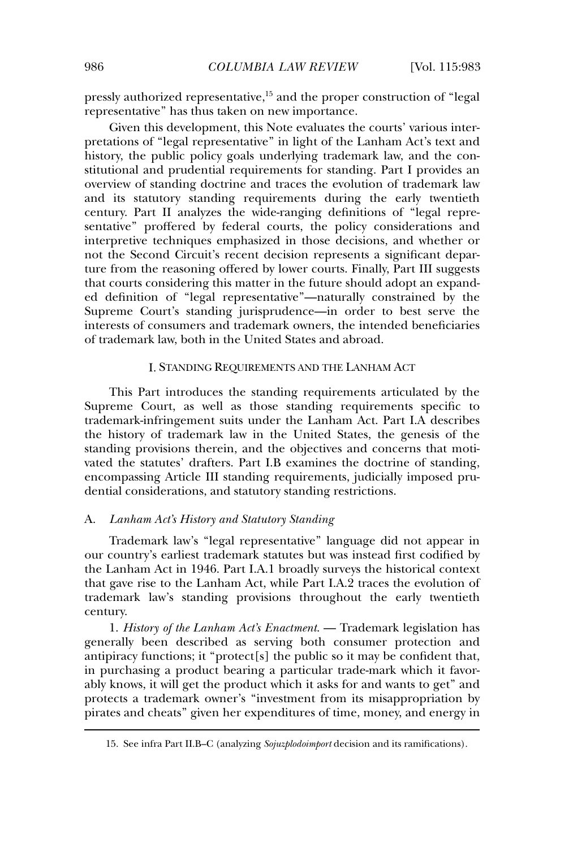pressly authorized representative,<sup>15</sup> and the proper construction of "legal representative" has thus taken on new importance.

Given this development, this Note evaluates the courts' various interpretations of "legal representative" in light of the Lanham Act's text and history, the public policy goals underlying trademark law, and the constitutional and prudential requirements for standing. Part I provides an overview of standing doctrine and traces the evolution of trademark law and its statutory standing requirements during the early twentieth century. Part II analyzes the wide-ranging definitions of "legal representative" proffered by federal courts, the policy considerations and interpretive techniques emphasized in those decisions, and whether or not the Second Circuit's recent decision represents a significant departure from the reasoning offered by lower courts. Finally, Part III suggests that courts considering this matter in the future should adopt an expanded definition of "legal representative"—naturally constrained by the Supreme Court's standing jurisprudence—in order to best serve the interests of consumers and trademark owners, the intended beneficiaries of trademark law, both in the United States and abroad.

### I. STANDING REQUIREMENTS AND THE LANHAM ACT

This Part introduces the standing requirements articulated by the Supreme Court, as well as those standing requirements specific to trademark-infringement suits under the Lanham Act. Part I.A describes the history of trademark law in the United States, the genesis of the standing provisions therein, and the objectives and concerns that motivated the statutes' drafters. Part I.B examines the doctrine of standing, encompassing Article III standing requirements, judicially imposed prudential considerations, and statutory standing restrictions.

### A. *Lanham Act's History and Statutory Standing*

Trademark law's "legal representative" language did not appear in our country's earliest trademark statutes but was instead first codified by the Lanham Act in 1946. Part I.A.1 broadly surveys the historical context that gave rise to the Lanham Act, while Part I.A.2 traces the evolution of trademark law's standing provisions throughout the early twentieth century.

1. *History of the Lanham Act's Enactment*. — Trademark legislation has generally been described as serving both consumer protection and antipiracy functions; it "protect[s] the public so it may be confident that, in purchasing a product bearing a particular trade-mark which it favorably knows, it will get the product which it asks for and wants to get" and protects a trademark owner's "investment from its misappropriation by pirates and cheats" given her expenditures of time, money, and energy in

<sup>15.</sup> See infra Part II.B–C (analyzing *Sojuzplodoimport* decision and its ramifications).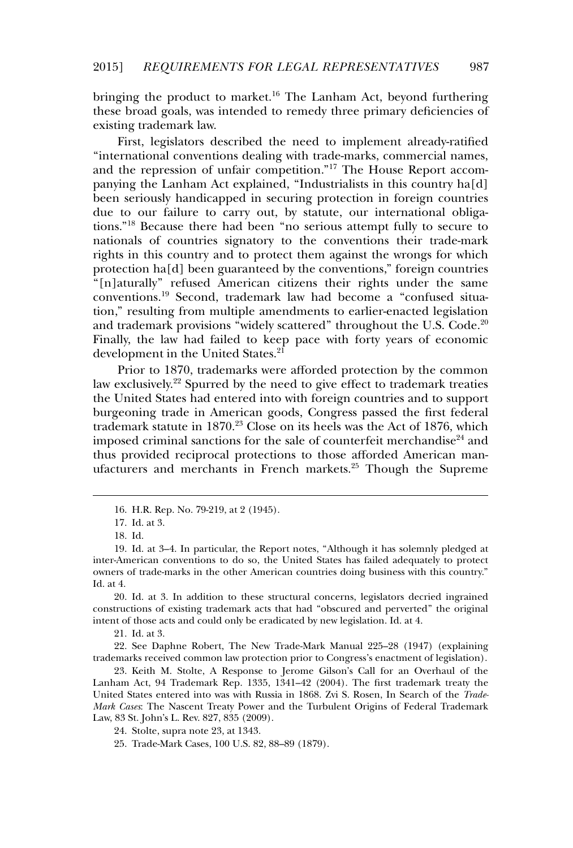bringing the product to market.<sup>16</sup> The Lanham Act, beyond furthering these broad goals, was intended to remedy three primary deficiencies of existing trademark law.

First, legislators described the need to implement already-ratified "international conventions dealing with trade-marks, commercial names, and the repression of unfair competition." <sup>17</sup> The House Report accompanying the Lanham Act explained, "Industrialists in this country ha[d] been seriously handicapped in securing protection in foreign countries due to our failure to carry out, by statute, our international obligations." <sup>18</sup> Because there had been "no serious attempt fully to secure to nationals of countries signatory to the conventions their trade-mark rights in this country and to protect them against the wrongs for which protection ha[d] been guaranteed by the conventions," foreign countries "[n]aturally" refused American citizens their rights under the same conventions.<sup>19</sup> Second, trademark law had become a "confused situation," resulting from multiple amendments to earlier-enacted legislation and trademark provisions "widely scattered" throughout the U.S. Code.<sup>20</sup> Finally, the law had failed to keep pace with forty years of economic development in the United States.<sup>21</sup>

Prior to 1870, trademarks were afforded protection by the common law exclusively.<sup>22</sup> Spurred by the need to give effect to trademark treaties the United States had entered into with foreign countries and to support burgeoning trade in American goods, Congress passed the first federal trademark statute in 1870.<sup>23</sup> Close on its heels was the Act of 1876, which imposed criminal sanctions for the sale of counterfeit merchandise $24$  and thus provided reciprocal protections to those afforded American manufacturers and merchants in French markets.<sup>25</sup> Though the Supreme

20. Id. at 3. In addition to these structural concerns, legislators decried ingrained constructions of existing trademark acts that had "obscured and perverted" the original intent of those acts and could only be eradicated by new legislation. Id. at 4.

21. Id. at 3.

22. See Daphne Robert, The New Trade-Mark Manual 225–28 (1947) (explaining trademarks received common law protection prior to Congress's enactment of legislation).

23. Keith M. Stolte, A Response to Jerome Gilson's Call for an Overhaul of the Lanham Act, 94 Trademark Rep. 1335, 1341–42 (2004). The first trademark treaty the United States entered into was with Russia in 1868. Zvi S. Rosen, In Search of the *Trade-Mark Cases*: The Nascent Treaty Power and the Turbulent Origins of Federal Trademark Law, 83 St. John's L. Rev. 827, 835 (2009).

24. Stolte, supra note 23, at 1343.

25. Trade-Mark Cases, 100 U.S. 82, 88–89 (1879).

<sup>16.</sup> H.R. Rep. No. 79-219, at 2 (1945).

<sup>17.</sup> Id. at 3.

<sup>18.</sup> Id.

<sup>19.</sup> Id. at 3–4. In particular, the Report notes, "Although it has solemnly pledged at inter-American conventions to do so, the United States has failed adequately to protect owners of trade-marks in the other American countries doing business with this country." Id. at 4.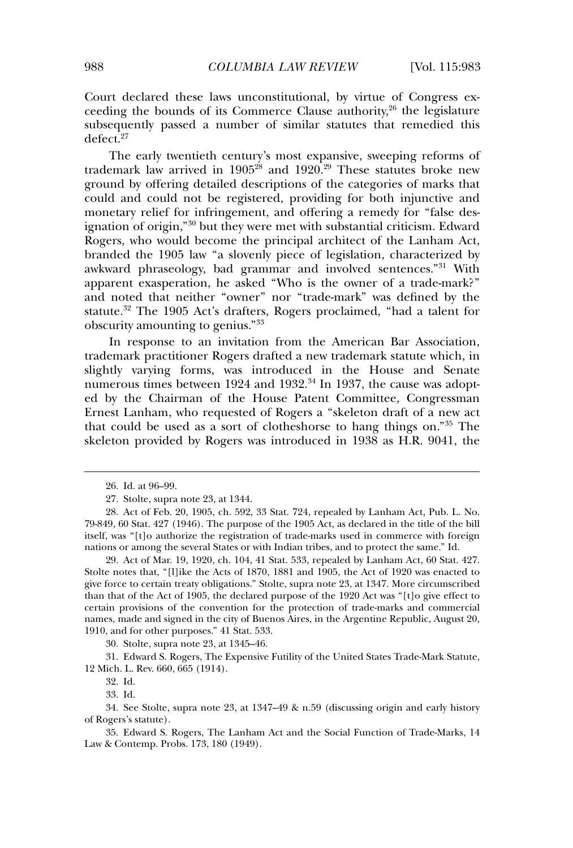Court declared these laws unconstitutional, by virtue of Congress exceeding the bounds of its Commerce Clause authority, $26$  the legislature subsequently passed a number of similar statutes that remedied this defect.<sup>27</sup>

The early twentieth century's most expansive, sweeping reforms of trademark law arrived in 1905<sup>28</sup> and 1920.<sup>29</sup> These statutes broke new ground by offering detailed descriptions of the categories of marks that could and could not be registered, providing for both injunctive and monetary relief for infringement, and offering a remedy for "false designation of origin," <sup>30</sup> but they were met with substantial criticism. Edward Rogers, who would become the principal architect of the Lanham Act, branded the 1905 law "a slovenly piece of legislation, characterized by awkward phraseology, bad grammar and involved sentences." <sup>31</sup> With apparent exasperation, he asked "Who is the owner of a trade-mark?" and noted that neither "owner" nor "trade-mark" was defined by the statute.<sup>32</sup> The 1905 Act's drafters, Rogers proclaimed, "had a talent for obscurity amounting to genius." 33

In response to an invitation from the American Bar Association, trademark practitioner Rogers drafted a new trademark statute which, in slightly varying forms, was introduced in the House and Senate numerous times between 1924 and 1932.<sup>34</sup> In 1937, the cause was adopted by the Chairman of the House Patent Committee, Congressman Ernest Lanham, who requested of Rogers a "skeleton draft of a new act that could be used as a sort of clotheshorse to hang things on." <sup>35</sup> The skeleton provided by Rogers was introduced in 1938 as H.R. 9041, the

29. Act of Mar. 19, 1920, ch. 104, 41 Stat. 533, repealed by Lanham Act, 60 Stat. 427. Stolte notes that, "[l]ike the Acts of 1870, 1881 and 1905, the Act of 1920 was enacted to give force to certain treaty obligations." Stolte, supra note 23, at 1347. More circumscribed than that of the Act of 1905, the declared purpose of the 1920 Act was "[t]o give effect to certain provisions of the convention for the protection of trade-marks and commercial names, made and signed in the city of Buenos Aires, in the Argentine Republic, August 20, 1910, and for other purposes." 41 Stat. 533.

30. Stolte, supra note 23, at 1345–46.

31. Edward S. Rogers, The Expensive Futility of the United States Trade-Mark Statute, 12 Mich. L. Rev. 660, 665 (1914).

32. Id.

33. Id.

35. Edward S. Rogers, The Lanham Act and the Social Function of Trade-Marks, 14 Law & Contemp. Probs. 173, 180 (1949).

<sup>26.</sup> Id. at 96–99.

<sup>27.</sup> Stolte, supra note 23, at 1344.

<sup>28.</sup> Act of Feb. 20, 1905, ch. 592, 33 Stat. 724, repealed by Lanham Act, Pub. L. No. 79-849, 60 Stat. 427 (1946). The purpose of the 1905 Act, as declared in the title of the bill itself, was "[t]o authorize the registration of trade-marks used in commerce with foreign nations or among the several States or with Indian tribes, and to protect the same." Id.

<sup>34.</sup> See Stolte, supra note 23, at 1347–49 & n.59 (discussing origin and early history of Rogers's statute).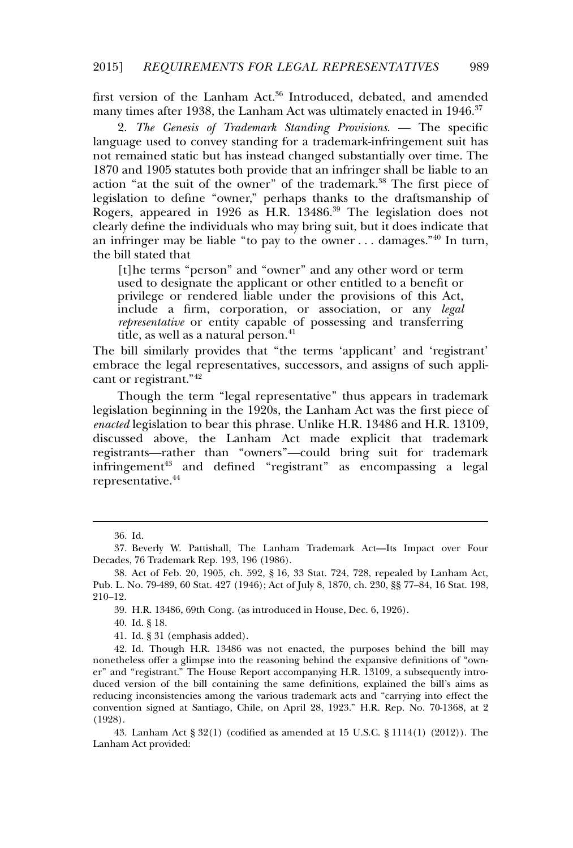first version of the Lanham Act.<sup>36</sup> Introduced, debated, and amended many times after 1938, the Lanham Act was ultimately enacted in 1946.<sup>37</sup>

2. *The Genesis of Trademark Standing Provisions*. — The specific language used to convey standing for a trademark-infringement suit has not remained static but has instead changed substantially over time. The 1870 and 1905 statutes both provide that an infringer shall be liable to an action "at the suit of the owner" of the trademark.<sup>38</sup> The first piece of legislation to define "owner," perhaps thanks to the draftsmanship of Rogers, appeared in 1926 as H.R. 13486.<sup>39</sup> The legislation does not clearly define the individuals who may bring suit, but it does indicate that an infringer may be liable "to pay to the owner . . . damages." <sup>40</sup> In turn, the bill stated that

[t]he terms "person" and "owner" and any other word or term used to designate the applicant or other entitled to a benefit or privilege or rendered liable under the provisions of this Act, include a firm, corporation, or association, or any *legal representative* or entity capable of possessing and transferring title, as well as a natural person.<sup>41</sup>

The bill similarly provides that "the terms 'applicant' and 'registrant' embrace the legal representatives, successors, and assigns of such applicant or registrant." 42

Though the term "legal representative" thus appears in trademark legislation beginning in the 1920s, the Lanham Act was the first piece of *enacted* legislation to bear this phrase. Unlike H.R. 13486 and H.R. 13109, discussed above, the Lanham Act made explicit that trademark registrants—rather than "owners"—could bring suit for trademark infringement<sup>43</sup> and defined "registrant" as encompassing a legal representative.<sup>44</sup>

<sup>36.</sup> Id.

<sup>37.</sup> Beverly W. Pattishall, The Lanham Trademark Act—Its Impact over Four Decades, 76 Trademark Rep. 193, 196 (1986).

<sup>38.</sup> Act of Feb. 20, 1905, ch. 592, § 16, 33 Stat. 724, 728, repealed by Lanham Act, Pub. L. No. 79-489, 60 Stat. 427 (1946); Act of July 8, 1870, ch. 230, §§ 77–84, 16 Stat. 198, 210–12.

<sup>39.</sup> H.R. 13486, 69th Cong. (as introduced in House, Dec. 6, 1926).

<sup>40.</sup> Id. § 18.

<sup>41.</sup> Id. § 31 (emphasis added).

<sup>42.</sup> Id. Though H.R. 13486 was not enacted, the purposes behind the bill may nonetheless offer a glimpse into the reasoning behind the expansive definitions of "owner" and "registrant." The House Report accompanying H.R. 13109, a subsequently introduced version of the bill containing the same definitions, explained the bill's aims as reducing inconsistencies among the various trademark acts and "carrying into effect the convention signed at Santiago, Chile, on April 28, 1923." H.R. Rep. No. 70-1368, at 2 (1928).

<sup>43.</sup> Lanham Act § 32(1) (codified as amended at 15 U.S.C. § 1114(1) (2012)). The Lanham Act provided: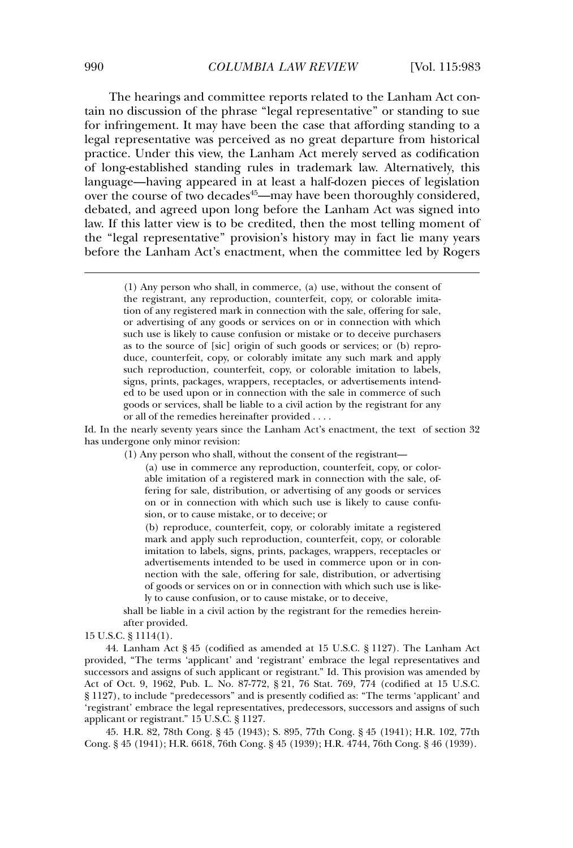The hearings and committee reports related to the Lanham Act contain no discussion of the phrase "legal representative" or standing to sue for infringement. It may have been the case that affording standing to a legal representative was perceived as no great departure from historical practice. Under this view, the Lanham Act merely served as codification of long-established standing rules in trademark law. Alternatively, this language—having appeared in at least a half-dozen pieces of legislation over the course of two decades<sup>45</sup>—may have been thoroughly considered, debated, and agreed upon long before the Lanham Act was signed into law. If this latter view is to be credited, then the most telling moment of the "legal representative" provision's history may in fact lie many years before the Lanham Act's enactment, when the committee led by Rogers

Id. In the nearly seventy years since the Lanham Act's enactment, the text of section 32 has undergone only minor revision:

(1) Any person who shall, without the consent of the registrant—

(a) use in commerce any reproduction, counterfeit, copy, or colorable imitation of a registered mark in connection with the sale, offering for sale, distribution, or advertising of any goods or services on or in connection with which such use is likely to cause confusion, or to cause mistake, or to deceive; or

(b) reproduce, counterfeit, copy, or colorably imitate a registered mark and apply such reproduction, counterfeit, copy, or colorable imitation to labels, signs, prints, packages, wrappers, receptacles or advertisements intended to be used in commerce upon or in connection with the sale, offering for sale, distribution, or advertising of goods or services on or in connection with which such use is likely to cause confusion, or to cause mistake, or to deceive,

shall be liable in a civil action by the registrant for the remedies hereinafter provided.

#### 15 U.S.C. § 1114(1).

44. Lanham Act § 45 (codified as amended at 15 U.S.C. § 1127). The Lanham Act provided, "The terms 'applicant' and 'registrant' embrace the legal representatives and successors and assigns of such applicant or registrant." Id. This provision was amended by Act of Oct. 9, 1962, Pub. L. No. 87-772, § 21, 76 Stat. 769, 774 (codified at 15 U.S.C. § 1127), to include "predecessors" and is presently codified as: "The terms 'applicant' and 'registrant' embrace the legal representatives, predecessors, successors and assigns of such applicant or registrant." 15 U.S.C. § 1127.

45. H.R. 82, 78th Cong. § 45 (1943); S. 895, 77th Cong. § 45 (1941); H.R. 102, 77th Cong. § 45 (1941); H.R. 6618, 76th Cong. § 45 (1939); H.R. 4744, 76th Cong. § 46 (1939).

<sup>(1)</sup> Any person who shall, in commerce, (a) use, without the consent of the registrant, any reproduction, counterfeit, copy, or colorable imitation of any registered mark in connection with the sale, offering for sale, or advertising of any goods or services on or in connection with which such use is likely to cause confusion or mistake or to deceive purchasers as to the source of [sic] origin of such goods or services; or (b) reproduce, counterfeit, copy, or colorably imitate any such mark and apply such reproduction, counterfeit, copy, or colorable imitation to labels, signs, prints, packages, wrappers, receptacles, or advertisements intended to be used upon or in connection with the sale in commerce of such goods or services, shall be liable to a civil action by the registrant for any or all of the remedies hereinafter provided . . . .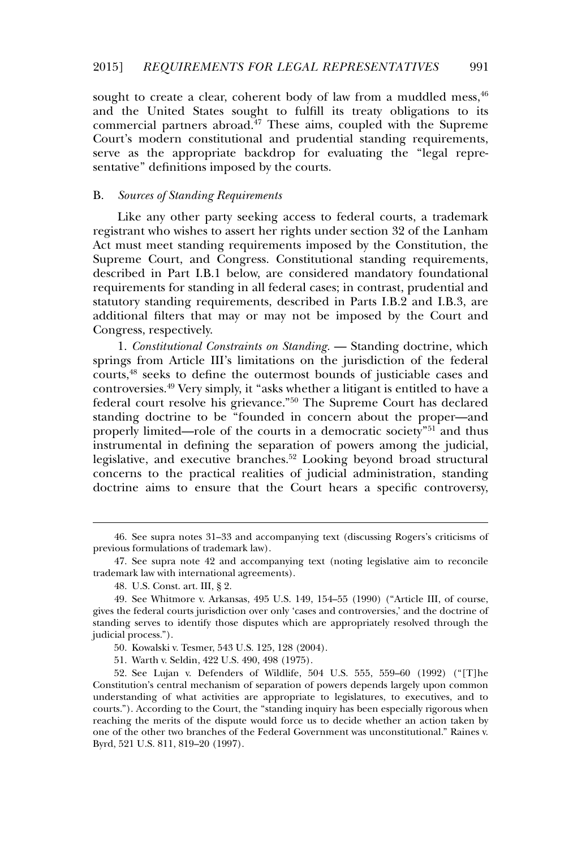sought to create a clear, coherent body of law from a muddled mess,  $46$ and the United States sought to fulfill its treaty obligations to its commercial partners abroad.<sup>47</sup> These aims, coupled with the Supreme Court's modern constitutional and prudential standing requirements, serve as the appropriate backdrop for evaluating the "legal representative" definitions imposed by the courts.

### B. *Sources of Standing Requirements*

Like any other party seeking access to federal courts, a trademark registrant who wishes to assert her rights under section 32 of the Lanham Act must meet standing requirements imposed by the Constitution, the Supreme Court, and Congress. Constitutional standing requirements, described in Part I.B.1 below, are considered mandatory foundational requirements for standing in all federal cases; in contrast, prudential and statutory standing requirements, described in Parts I.B.2 and I.B.3, are additional filters that may or may not be imposed by the Court and Congress, respectively.

1. *Constitutional Constraints on Standing.* — Standing doctrine, which springs from Article III's limitations on the jurisdiction of the federal courts,<sup>48</sup> seeks to define the outermost bounds of justiciable cases and controversies.<sup>49</sup> Very simply, it "asks whether a litigant is entitled to have a federal court resolve his grievance." <sup>50</sup> The Supreme Court has declared standing doctrine to be "founded in concern about the proper—and properly limited—role of the courts in a democratic society" <sup>51</sup> and thus instrumental in defining the separation of powers among the judicial, legislative, and executive branches.<sup>52</sup> Looking beyond broad structural concerns to the practical realities of judicial administration, standing doctrine aims to ensure that the Court hears a specific controversy,

<sup>46.</sup> See supra notes 31–33 and accompanying text (discussing Rogers's criticisms of previous formulations of trademark law).

<sup>47.</sup> See supra note 42 and accompanying text (noting legislative aim to reconcile trademark law with international agreements).

<sup>48.</sup> U.S. Const. art. III, § 2.

<sup>49.</sup> See Whitmore v. Arkansas, 495 U.S. 149, 154–55 (1990) ("Article III, of course, gives the federal courts jurisdiction over only 'cases and controversies,' and the doctrine of standing serves to identify those disputes which are appropriately resolved through the judicial process.").

<sup>50.</sup> Kowalski v. Tesmer, 543 U.S. 125, 128 (2004).

<sup>51.</sup> Warth v. Seldin, 422 U.S. 490, 498 (1975).

<sup>52.</sup> See Lujan v. Defenders of Wildlife, 504 U.S. 555, 559–60 (1992) ("[T]he Constitution's central mechanism of separation of powers depends largely upon common understanding of what activities are appropriate to legislatures, to executives, and to courts."). According to the Court, the "standing inquiry has been especially rigorous when reaching the merits of the dispute would force us to decide whether an action taken by one of the other two branches of the Federal Government was unconstitutional." Raines v. Byrd, 521 U.S. 811, 819–20 (1997).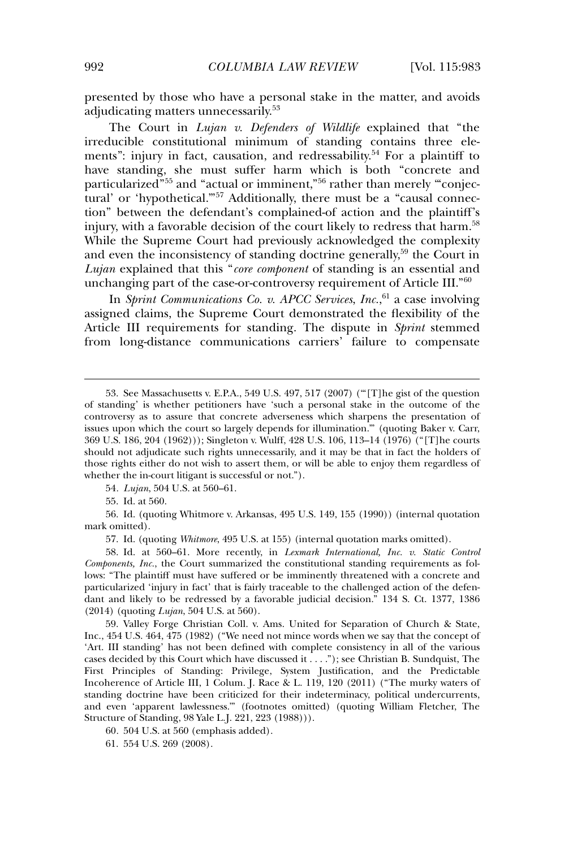presented by those who have a personal stake in the matter, and avoids adjudicating matters unnecessarily.<sup>53</sup>

The Court in *Lujan v. Defenders of Wildlife* explained that "the irreducible constitutional minimum of standing contains three elements": injury in fact, causation, and redressability.<sup>54</sup> For a plaintiff to have standing, she must suffer harm which is both "concrete and particularized" $^{55}$  and "actual or imminent," $^{56}$  rather than merely "'conjectural' or 'hypothetical.'" <sup>57</sup> Additionally, there must be a "causal connection" between the defendant's complained-of action and the plaintiff's injury, with a favorable decision of the court likely to redress that harm.<sup>58</sup> While the Supreme Court had previously acknowledged the complexity and even the inconsistency of standing doctrine generally,<sup>59</sup> the Court in *Lujan* explained that this "*core component* of standing is an essential and unchanging part of the case-or-controversy requirement of Article III." $^{60}$ 

In *Sprint Communications Co. v. APCC Services*, *Inc.*, <sup>61</sup> a case involving assigned claims, the Supreme Court demonstrated the flexibility of the Article III requirements for standing. The dispute in *Sprint* stemmed from long-distance communications carriers' failure to compensate

54*. Lujan*, 504 U.S. at 560–61.

55. Id. at 560.

56. Id. (quoting Whitmore v. Arkansas, 495 U.S. 149, 155 (1990)) (internal quotation mark omitted).

57. Id. (quoting *Whitmore*, 495 U.S. at 155) (internal quotation marks omitted).

58. Id. at 560–61. More recently, in *Lexmark International, Inc. v. Static Control Components, Inc.*, the Court summarized the constitutional standing requirements as follows: "The plaintiff must have suffered or be imminently threatened with a concrete and particularized 'injury in fact' that is fairly traceable to the challenged action of the defendant and likely to be redressed by a favorable judicial decision." 134 S. Ct. 1377, 1386 (2014) (quoting *Lujan*, 504 U.S. at 560).

59. Valley Forge Christian Coll. v. Ams. United for Separation of Church & State, Inc., 454 U.S. 464, 475 (1982) ("We need not mince words when we say that the concept of 'Art. III standing' has not been defined with complete consistency in all of the various cases decided by this Court which have discussed it . . . ."); see Christian B. Sundquist, The First Principles of Standing: Privilege, System Justification, and the Predictable Incoherence of Article III, 1 Colum. J. Race & L. 119, 120 (2011) ("The murky waters of standing doctrine have been criticized for their indeterminacy, political undercurrents, and even 'apparent lawlessness.'" (footnotes omitted) (quoting William Fletcher, The Structure of Standing, 98 Yale L.J. 221, 223 (1988))).

60*.* 504 U.S. at 560 (emphasis added).

61. 554 U.S. 269 (2008).

<sup>53.</sup> See Massachusetts v. E.P.A., 549 U.S. 497, 517 (2007) ("'[T]he gist of the question of standing' is whether petitioners have 'such a personal stake in the outcome of the controversy as to assure that concrete adverseness which sharpens the presentation of issues upon which the court so largely depends for illumination.'" (quoting Baker v. Carr, 369 U.S. 186, 204 (1962))); Singleton v. Wulff, 428 U.S. 106, 113–14 (1976) ("[T]he courts should not adjudicate such rights unnecessarily, and it may be that in fact the holders of those rights either do not wish to assert them, or will be able to enjoy them regardless of whether the in-court litigant is successful or not.").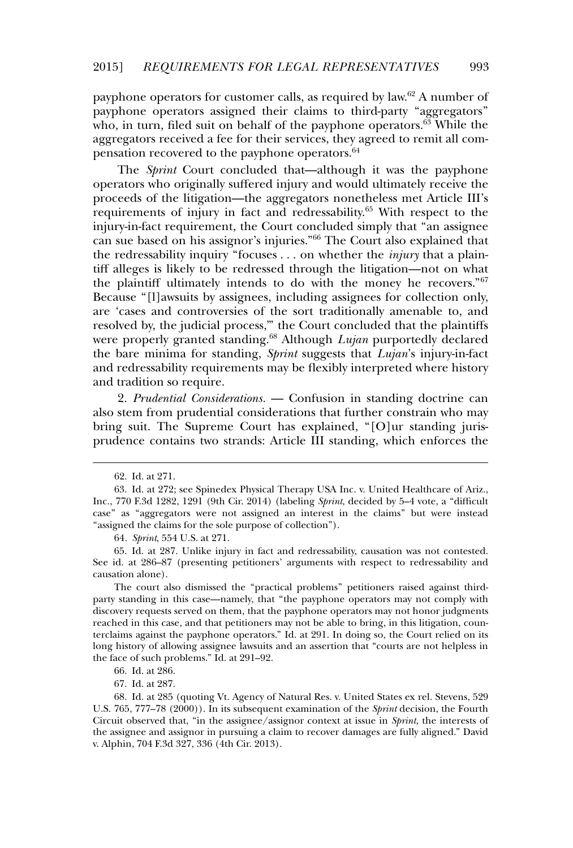payphone operators for customer calls, as required by law. $62$  A number of payphone operators assigned their claims to third-party "aggregators" who, in turn, filed suit on behalf of the payphone operators. $63$  While the aggregators received a fee for their services, they agreed to remit all compensation recovered to the payphone operators.<sup>64</sup>

The *Sprint* Court concluded that—although it was the payphone operators who originally suffered injury and would ultimately receive the proceeds of the litigation—the aggregators nonetheless met Article III's requirements of injury in fact and redressability.<sup>65</sup> With respect to the injury-in-fact requirement, the Court concluded simply that "an assignee can sue based on his assignor's injuries." <sup>66</sup> The Court also explained that the redressability inquiry "focuses . . . on whether the *injury* that a plaintiff alleges is likely to be redressed through the litigation—not on what the plaintiff ultimately intends to do with the money he recovers." 67 Because "[l]awsuits by assignees, including assignees for collection only, are 'cases and controversies of the sort traditionally amenable to, and resolved by, the judicial process,'" the Court concluded that the plaintiffs were properly granted standing.<sup>68</sup> Although *Lujan* purportedly declared the bare minima for standing, *Sprint* suggests that *Lujan*'s injury-in-fact and redressability requirements may be flexibly interpreted where history and tradition so require.

2. *Prudential Considerations.* — Confusion in standing doctrine can also stem from prudential considerations that further constrain who may bring suit. The Supreme Court has explained, "[O]ur standing jurisprudence contains two strands: Article III standing, which enforces the

64*. Sprint*, 554 U.S. at 271.

65. Id. at 287. Unlike injury in fact and redressability, causation was not contested. See id. at 286–87 (presenting petitioners' arguments with respect to redressability and causation alone).

The court also dismissed the "practical problems" petitioners raised against thirdparty standing in this case—namely, that "the payphone operators may not comply with discovery requests served on them, that the payphone operators may not honor judgments reached in this case, and that petitioners may not be able to bring, in this litigation, counterclaims against the payphone operators." Id. at 291. In doing so, the Court relied on its long history of allowing assignee lawsuits and an assertion that "courts are not helpless in the face of such problems." Id. at 291–92.

68. Id. at 285 (quoting Vt. Agency of Natural Res. v. United States ex rel. Stevens, 529 U.S. 765, 777–78 (2000)). In its subsequent examination of the *Sprint* decision, the Fourth Circuit observed that, "in the assignee/assignor context at issue in *Sprint,* the interests of the assignee and assignor in pursuing a claim to recover damages are fully aligned." David v. Alphin, 704 F.3d 327, 336 (4th Cir. 2013).

<sup>62.</sup> Id. at 271.

<sup>63.</sup> Id. at 272; see Spinedex Physical Therapy USA Inc. v. United Healthcare of Ariz., Inc., 770 F.3d 1282, 1291 (9th Cir. 2014) (labeling *Sprint*, decided by 5–4 vote, a "difficult case" as "aggregators were not assigned an interest in the claims" but were instead "assigned the claims for the sole purpose of collection").

<sup>66.</sup> Id. at 286.

<sup>67.</sup> Id. at 287.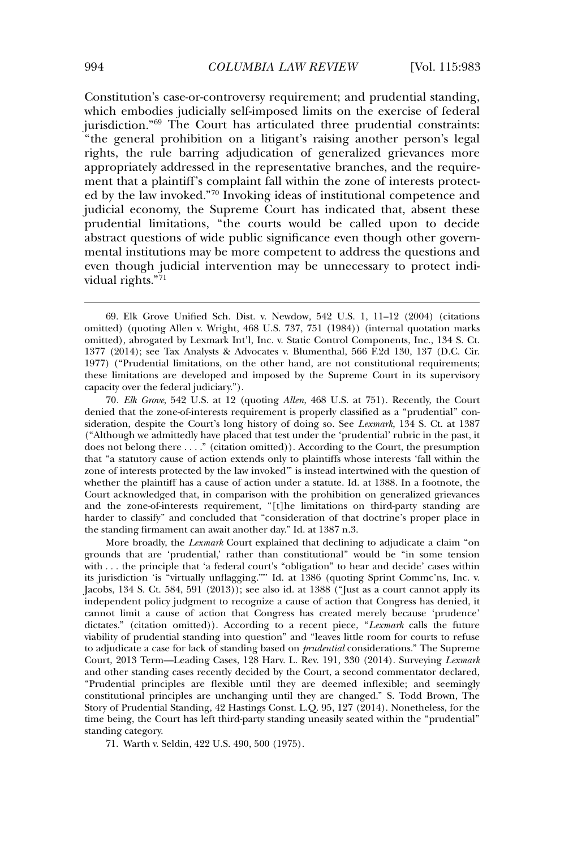Constitution's case-or-controversy requirement; and prudential standing, which embodies judicially self-imposed limits on the exercise of federal jurisdiction." <sup>69</sup> The Court has articulated three prudential constraints: "the general prohibition on a litigant's raising another person's legal rights, the rule barring adjudication of generalized grievances more appropriately addressed in the representative branches, and the requirement that a plaintiff's complaint fall within the zone of interests protected by the law invoked." <sup>70</sup> Invoking ideas of institutional competence and judicial economy, the Supreme Court has indicated that, absent these prudential limitations, "the courts would be called upon to decide abstract questions of wide public significance even though other governmental institutions may be more competent to address the questions and even though judicial intervention may be unnecessary to protect individual rights." 71

70*. Elk Grove*, 542 U.S. at 12 (quoting *Allen*, 468 U.S. at 751). Recently, the Court denied that the zone-of-interests requirement is properly classified as a "prudential" consideration, despite the Court's long history of doing so. See *Lexmark*, 134 S. Ct. at 1387 ("Although we admittedly have placed that test under the 'prudential' rubric in the past, it does not belong there . . . ." (citation omitted)). According to the Court, the presumption that "a statutory cause of action extends only to plaintiffs whose interests 'fall within the zone of interests protected by the law invoked'" is instead intertwined with the question of whether the plaintiff has a cause of action under a statute. Id. at 1388. In a footnote, the Court acknowledged that, in comparison with the prohibition on generalized grievances and the zone-of-interests requirement, "[t]he limitations on third-party standing are harder to classify" and concluded that "consideration of that doctrine's proper place in the standing firmament can await another day." Id. at 1387 n.3.

More broadly, the *Lexmark* Court explained that declining to adjudicate a claim "on grounds that are 'prudential,' rather than constitutional" would be "in some tension with . . . the principle that 'a federal court's "obligation" to hear and decide' cases within its jurisdiction 'is "virtually unflagging."'" Id. at 1386 (quoting Sprint Commc'ns, Inc. v. Jacobs, 134 S. Ct. 584, 591 (2013)); see also id. at 1388 ("Just as a court cannot apply its independent policy judgment to recognize a cause of action that Congress has denied, it cannot limit a cause of action that Congress has created merely because 'prudence' dictates." (citation omitted)). According to a recent piece, "*Lexmark* calls the future viability of prudential standing into question" and "leaves little room for courts to refuse to adjudicate a case for lack of standing based on *prudential* considerations." The Supreme Court, 2013 Term—Leading Cases, 128 Harv. L. Rev. 191, 330 (2014). Surveying *Lexmark* and other standing cases recently decided by the Court, a second commentator declared, "Prudential principles are flexible until they are deemed inflexible; and seemingly constitutional principles are unchanging until they are changed." S. Todd Brown, The Story of Prudential Standing, 42 Hastings Const. L.Q. 95, 127 (2014). Nonetheless, for the time being, the Court has left third-party standing uneasily seated within the "prudential" standing category.

71. Warth v. Seldin, 422 U.S. 490, 500 (1975).

<sup>69.</sup> Elk Grove Unified Sch. Dist. v. Newdow*,* 542 U.S. 1, 11–12 (2004) (citations omitted) (quoting Allen v. Wright, 468 U.S. 737, 751 (1984)) (internal quotation marks omitted), abrogated by Lexmark Int'l, Inc. v. Static Control Components, Inc., 134 S. Ct. 1377 (2014); see Tax Analysts & Advocates v. Blumenthal, 566 F.2d 130, 137 (D.C. Cir. 1977) ("Prudential limitations, on the other hand, are not constitutional requirements; these limitations are developed and imposed by the Supreme Court in its supervisory capacity over the federal judiciary.").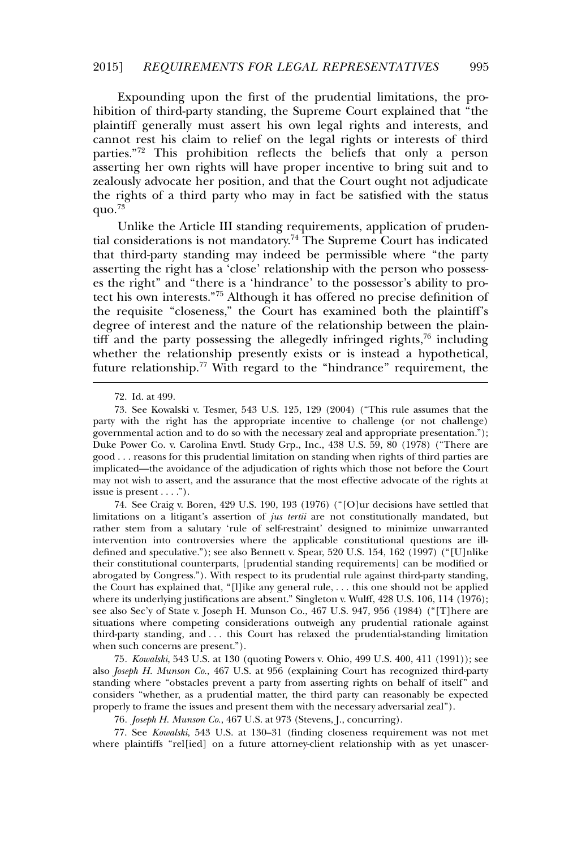Expounding upon the first of the prudential limitations, the prohibition of third-party standing, the Supreme Court explained that "the plaintiff generally must assert his own legal rights and interests, and cannot rest his claim to relief on the legal rights or interests of third parties." <sup>72</sup> This prohibition reflects the beliefs that only a person asserting her own rights will have proper incentive to bring suit and to zealously advocate her position, and that the Court ought not adjudicate the rights of a third party who may in fact be satisfied with the status quo. $73$ 

Unlike the Article III standing requirements, application of prudential considerations is not mandatory.<sup>74</sup> The Supreme Court has indicated that third-party standing may indeed be permissible where "the party asserting the right has a 'close' relationship with the person who possesses the right" and "there is a 'hindrance' to the possessor's ability to protect his own interests." <sup>75</sup> Although it has offered no precise definition of the requisite "closeness," the Court has examined both the plaintiff's degree of interest and the nature of the relationship between the plaintiff and the party possessing the allegedly infringed rights, $76$  including whether the relationship presently exists or is instead a hypothetical, future relationship.<sup>77</sup> With regard to the "hindrance" requirement, the

74. See Craig v. Boren, 429 U.S. 190, 193 (1976) ("[O]ur decisions have settled that limitations on a litigant's assertion of *jus tertii* are not constitutionally mandated, but rather stem from a salutary 'rule of self-restraint' designed to minimize unwarranted intervention into controversies where the applicable constitutional questions are illdefined and speculative."); see also Bennett v. Spear, 520 U.S. 154, 162 (1997) ("[U]nlike their constitutional counterparts, [prudential standing requirements] can be modified or abrogated by Congress."). With respect to its prudential rule against third-party standing, the Court has explained that, "[l]ike any general rule, . . . this one should not be applied where its underlying justifications are absent." Singleton v. Wulff, 428 U.S. 106, 114 (1976); see also Sec'y of State v. Joseph H. Munson Co., 467 U.S. 947, 956 (1984) ("[T]here are situations where competing considerations outweigh any prudential rationale against third-party standing, and . . . this Court has relaxed the prudential-standing limitation when such concerns are present.").

75*. Kowalski*, 543 U.S. at 130 (quoting Powers v. Ohio, 499 U.S. 400, 411 (1991)); see also *Joseph H. Munson Co.*, 467 U.S. at 956 (explaining Court has recognized third-party standing where "obstacles prevent a party from asserting rights on behalf of itself" and considers "whether, as a prudential matter, the third party can reasonably be expected properly to frame the issues and present them with the necessary adversarial zeal").

76*. Joseph H. Munson Co.*, 467 U.S. at 973 (Stevens, J., concurring).

77. See *Kowalski*, 543 U.S. at 130–31 (finding closeness requirement was not met where plaintiffs "rel[ied] on a future attorney-client relationship with as yet unascer-

<sup>72.</sup> Id. at 499.

<sup>73.</sup> See Kowalski v. Tesmer, 543 U.S. 125, 129 (2004) ("This rule assumes that the party with the right has the appropriate incentive to challenge (or not challenge) governmental action and to do so with the necessary zeal and appropriate presentation."); Duke Power Co. v. Carolina Envtl. Study Grp., Inc., 438 U.S. 59, 80 (1978) ("There are good . . . reasons for this prudential limitation on standing when rights of third parties are implicated—the avoidance of the adjudication of rights which those not before the Court may not wish to assert, and the assurance that the most effective advocate of the rights at issue is present . . . .").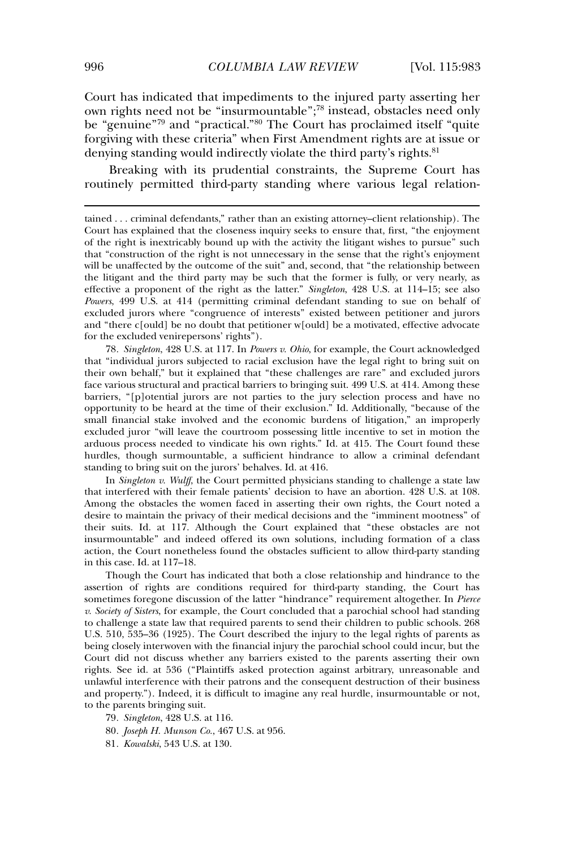Court has indicated that impediments to the injured party asserting her own rights need not be "insurmountable"; <sup>78</sup> instead, obstacles need only be "genuine" <sup>79</sup> and "practical." <sup>80</sup> The Court has proclaimed itself "quite forgiving with these criteria" when First Amendment rights are at issue or denying standing would indirectly violate the third party's rights.<sup>81</sup>

Breaking with its prudential constraints, the Supreme Court has routinely permitted third-party standing where various legal relation-

78*. Singleton*, 428 U.S. at 117. In *Powers v. Ohio*, for example, the Court acknowledged that "individual jurors subjected to racial exclusion have the legal right to bring suit on their own behalf," but it explained that "these challenges are rare" and excluded jurors face various structural and practical barriers to bringing suit. 499 U.S. at 414. Among these barriers, "[p]otential jurors are not parties to the jury selection process and have no opportunity to be heard at the time of their exclusion." Id. Additionally, "because of the small financial stake involved and the economic burdens of litigation," an improperly excluded juror "will leave the courtroom possessing little incentive to set in motion the arduous process needed to vindicate his own rights." Id. at 415. The Court found these hurdles, though surmountable, a sufficient hindrance to allow a criminal defendant standing to bring suit on the jurors' behalves. Id. at 416.

In *Singleton v. Wulff*, the Court permitted physicians standing to challenge a state law that interfered with their female patients' decision to have an abortion. 428 U.S. at 108. Among the obstacles the women faced in asserting their own rights, the Court noted a desire to maintain the privacy of their medical decisions and the "imminent mootness" of their suits. Id. at 117. Although the Court explained that "these obstacles are not insurmountable" and indeed offered its own solutions, including formation of a class action, the Court nonetheless found the obstacles sufficient to allow third-party standing in this case. Id. at 117–18.

Though the Court has indicated that both a close relationship and hindrance to the assertion of rights are conditions required for third-party standing, the Court has sometimes foregone discussion of the latter "hindrance" requirement altogether. In *Pierce v. Society of Sisters*, for example, the Court concluded that a parochial school had standing to challenge a state law that required parents to send their children to public schools. 268 U.S. 510, 535–36 (1925). The Court described the injury to the legal rights of parents as being closely interwoven with the financial injury the parochial school could incur, but the Court did not discuss whether any barriers existed to the parents asserting their own rights. See id. at 536 ("Plaintiffs asked protection against arbitrary, unreasonable and unlawful interference with their patrons and the consequent destruction of their business and property."). Indeed, it is difficult to imagine any real hurdle, insurmountable or not, to the parents bringing suit.

- 79*. Singleton*, 428 U.S. at 116.
- 80*. Joseph H. Munson Co.*, 467 U.S. at 956.
- 81*. Kowalski*, 543 U.S. at 130.

tained . . . criminal defendants," rather than an existing attorney–client relationship). The Court has explained that the closeness inquiry seeks to ensure that, first, "the enjoyment of the right is inextricably bound up with the activity the litigant wishes to pursue" such that "construction of the right is not unnecessary in the sense that the right's enjoyment will be unaffected by the outcome of the suit" and, second, that "the relationship between the litigant and the third party may be such that the former is fully, or very nearly, as effective a proponent of the right as the latter." *Singleton*, 428 U.S. at 114–15; see also *Powers*, 499 U.S. at 414 (permitting criminal defendant standing to sue on behalf of excluded jurors where "congruence of interests" existed between petitioner and jurors and "there c[ould] be no doubt that petitioner w[ould] be a motivated, effective advocate for the excluded venirepersons' rights").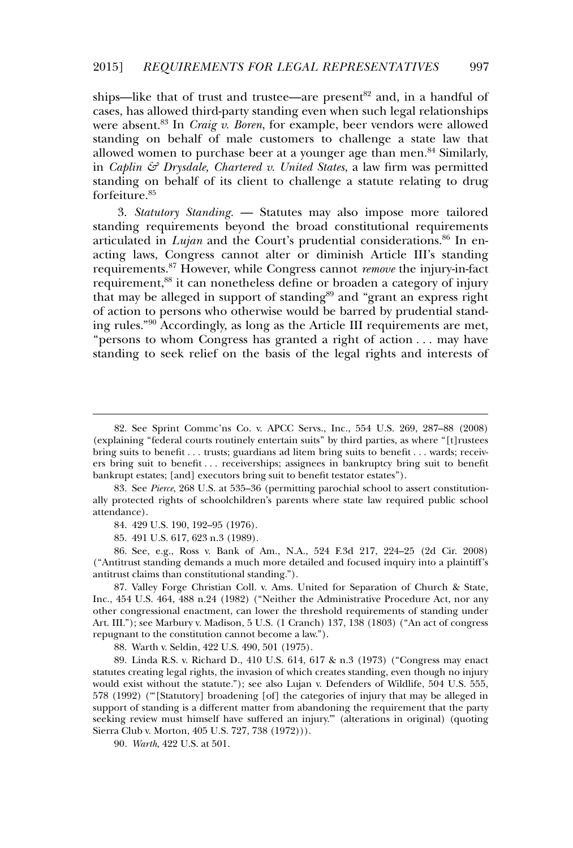ships—like that of trust and trustee—are present<sup>82</sup> and, in a handful of cases, has allowed third-party standing even when such legal relationships were absent.<sup>83</sup> In *Craig v. Boren*, for example, beer vendors were allowed standing on behalf of male customers to challenge a state law that allowed women to purchase beer at a younger age than men.<sup>84</sup> Similarly, in *Caplin & Drysdale, Chartered v. United States*, a law firm was permitted standing on behalf of its client to challenge a statute relating to drug forfeiture.<sup>85</sup>

3. *Statutory Standing.* — Statutes may also impose more tailored standing requirements beyond the broad constitutional requirements articulated in *Lujan* and the Court's prudential considerations.<sup>86</sup> In enacting laws, Congress cannot alter or diminish Article III's standing requirements.<sup>87</sup> However, while Congress cannot *remove* the injury-in-fact requirement,<sup>88</sup> it can nonetheless define or broaden a category of injury that may be alleged in support of standing<sup>89</sup> and "grant an express right of action to persons who otherwise would be barred by prudential standing rules." <sup>90</sup> Accordingly, as long as the Article III requirements are met, "persons to whom Congress has granted a right of action . . . may have standing to seek relief on the basis of the legal rights and interests of

86. See, e.g., Ross v. Bank of Am., N.A., 524 F.3d 217, 224–25 (2d Cir. 2008) ("Antitrust standing demands a much more detailed and focused inquiry into a plaintiff's antitrust claims than constitutional standing.").

87. Valley Forge Christian Coll. v. Ams. United for Separation of Church & State, Inc., 454 U.S. 464, 488 n.24 (1982) ("Neither the Administrative Procedure Act, nor any other congressional enactment, can lower the threshold requirements of standing under Art. III."); see Marbury v. Madison, 5 U.S. (1 Cranch) 137, 138 (1803) ("An act of congress repugnant to the constitution cannot become a law.").

88. Warth v. Seldin, 422 U.S. 490, 501 (1975).

89. Linda R.S. v. Richard D., 410 U.S. 614, 617 & n.3 (1973) ("Congress may enact statutes creating legal rights, the invasion of which creates standing, even though no injury would exist without the statute."); see also Lujan v. Defenders of Wildlife, 504 U.S. 555, 578 (1992) ("'[Statutory] broadening [of] the categories of injury that may be alleged in support of standing is a different matter from abandoning the requirement that the party seeking review must himself have suffered an injury.'" (alterations in original) (quoting Sierra Club v. Morton, 405 U.S. 727, 738 (1972))).

90*. Warth*, 422 U.S. at 501.

<sup>82.</sup> See Sprint Commc'ns Co. v. APCC Servs., Inc., 554 U.S. 269, 287–88 (2008) (explaining "federal courts routinely entertain suits" by third parties, as where "[t]rustees bring suits to benefit . . . trusts; guardians ad litem bring suits to benefit . . . wards; receivers bring suit to benefit . . . receiverships; assignees in bankruptcy bring suit to benefit bankrupt estates; [and] executors bring suit to benefit testator estates").

<sup>83.</sup> See *Pierce*, 268 U.S. at 535–36 (permitting parochial school to assert constitutionally protected rights of schoolchildren's parents where state law required public school attendance).

<sup>84. 429</sup> U.S. 190, 192–95 (1976).

<sup>85. 491</sup> U.S. 617, 623 n.3 (1989).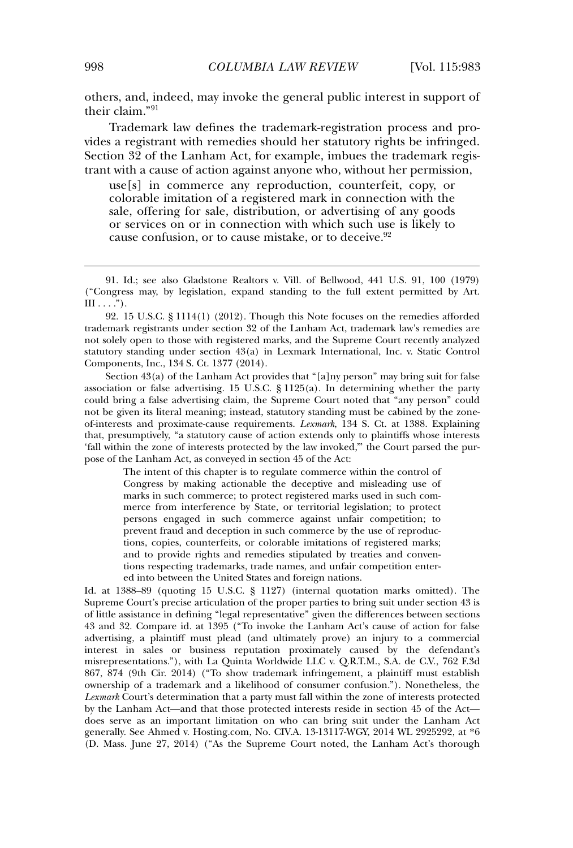others, and, indeed, may invoke the general public interest in support of their claim." 91

Trademark law defines the trademark-registration process and provides a registrant with remedies should her statutory rights be infringed. Section 32 of the Lanham Act, for example, imbues the trademark registrant with a cause of action against anyone who, without her permission,

use[s] in commerce any reproduction, counterfeit, copy, or colorable imitation of a registered mark in connection with the sale, offering for sale, distribution, or advertising of any goods or services on or in connection with which such use is likely to cause confusion, or to cause mistake, or to deceive.<sup>92</sup>

Section 43(a) of the Lanham Act provides that "[a]ny person" may bring suit for false association or false advertising. 15 U.S.C. § 1125(a). In determining whether the party could bring a false advertising claim, the Supreme Court noted that "any person" could not be given its literal meaning; instead, statutory standing must be cabined by the zoneof-interests and proximate-cause requirements. *Lexmark*, 134 S. Ct. at 1388. Explaining that, presumptively, "a statutory cause of action extends only to plaintiffs whose interests 'fall within the zone of interests protected by the law invoked,'" the Court parsed the purpose of the Lanham Act, as conveyed in section 45 of the Act:

The intent of this chapter is to regulate commerce within the control of Congress by making actionable the deceptive and misleading use of marks in such commerce; to protect registered marks used in such commerce from interference by State, or territorial legislation; to protect persons engaged in such commerce against unfair competition; to prevent fraud and deception in such commerce by the use of reproductions, copies, counterfeits, or colorable imitations of registered marks; and to provide rights and remedies stipulated by treaties and conventions respecting trademarks, trade names, and unfair competition entered into between the United States and foreign nations.

Id. at 1388–89 (quoting 15 U.S.C. § 1127) (internal quotation marks omitted). The Supreme Court's precise articulation of the proper parties to bring suit under section 43 is of little assistance in defining "legal representative" given the differences between sections 43 and 32. Compare id. at 1395 ("To invoke the Lanham Act's cause of action for false advertising, a plaintiff must plead (and ultimately prove) an injury to a commercial interest in sales or business reputation proximately caused by the defendant's misrepresentations."), with La Quinta Worldwide LLC v. Q.R.T.M., S.A. de C.V., 762 F.3d 867, 874 (9th Cir. 2014) ("To show trademark infringement, a plaintiff must establish ownership of a trademark and a likelihood of consumer confusion."). Nonetheless, the *Lexmark* Court's determination that a party must fall within the zone of interests protected by the Lanham Act—and that those protected interests reside in section 45 of the Act does serve as an important limitation on who can bring suit under the Lanham Act generally. See Ahmed v. Hosting.com, No. CIV.A. 13-13117-WGY, 2014 WL 2925292, at \*6 (D. Mass. June 27, 2014) ("As the Supreme Court noted, the Lanham Act's thorough

<sup>91.</sup> Id.; see also Gladstone Realtors v. Vill. of Bellwood, 441 U.S. 91, 100 (1979) ("Congress may, by legislation, expand standing to the full extent permitted by Art.  $III \ldots$ ").

<sup>92. 15</sup> U.S.C. § 1114(1) (2012). Though this Note focuses on the remedies afforded trademark registrants under section 32 of the Lanham Act, trademark law's remedies are not solely open to those with registered marks, and the Supreme Court recently analyzed statutory standing under section 43(a) in Lexmark International, Inc. v. Static Control Components, Inc., 134 S. Ct. 1377 (2014).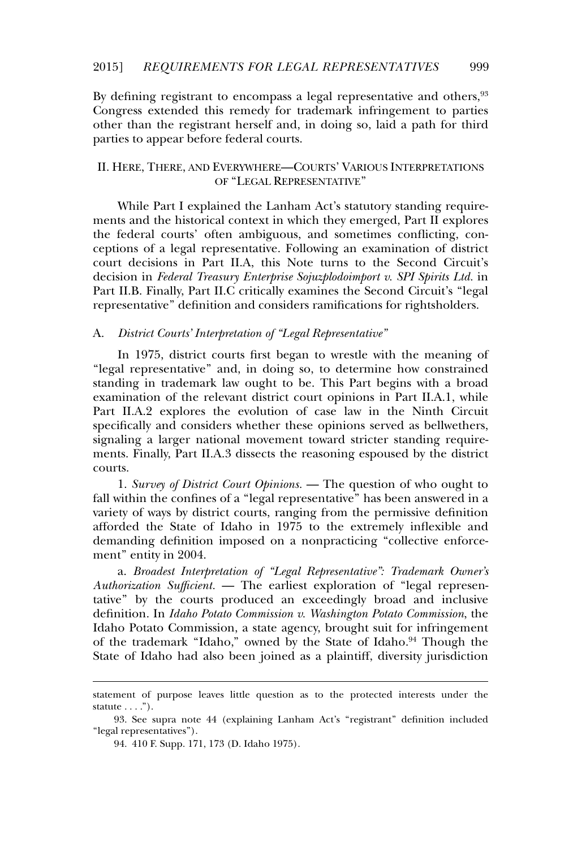By defining registrant to encompass a legal representative and others,  $93$ Congress extended this remedy for trademark infringement to parties other than the registrant herself and, in doing so, laid a path for third parties to appear before federal courts.

### II. HERE, THERE, AND EVERYWHERE—COURTS' VARIOUS INTERPRETATIONS OF "LEGAL REPRESENTATIVE"

While Part I explained the Lanham Act's statutory standing requirements and the historical context in which they emerged, Part II explores the federal courts' often ambiguous, and sometimes conflicting, conceptions of a legal representative. Following an examination of district court decisions in Part II.A, this Note turns to the Second Circuit's decision in *Federal Treasury Enterprise Sojuzplodoimport v. SPI Spirits Ltd.* in Part II.B. Finally, Part II.C critically examines the Second Circuit's "legal representative" definition and considers ramifications for rightsholders.

### A. *District Courts' Interpretation of "Legal Representative"*

In 1975, district courts first began to wrestle with the meaning of "legal representative" and, in doing so, to determine how constrained standing in trademark law ought to be. This Part begins with a broad examination of the relevant district court opinions in Part II.A.1, while Part II.A.2 explores the evolution of case law in the Ninth Circuit specifically and considers whether these opinions served as bellwethers, signaling a larger national movement toward stricter standing requirements. Finally, Part II.A.3 dissects the reasoning espoused by the district courts.

1. *Survey of District Court Opinions.* — The question of who ought to fall within the confines of a "legal representative" has been answered in a variety of ways by district courts, ranging from the permissive definition afforded the State of Idaho in 1975 to the extremely inflexible and demanding definition imposed on a nonpracticing "collective enforcement" entity in 2004.

a. *Broadest Interpretation of "Legal Representative": Trademark Owner's Authorization Sufficient.* — The earliest exploration of "legal representative" by the courts produced an exceedingly broad and inclusive definition. In *Idaho Potato Commission v. Washington Potato Commission*, the Idaho Potato Commission, a state agency, brought suit for infringement of the trademark "Idaho," owned by the State of Idaho.<sup>94</sup> Though the State of Idaho had also been joined as a plaintiff, diversity jurisdiction

statement of purpose leaves little question as to the protected interests under the statute  $\dots$ .").

<sup>93.</sup> See supra note 44 (explaining Lanham Act's "registrant" definition included "legal representatives").

<sup>94. 410</sup> F. Supp. 171, 173 (D. Idaho 1975).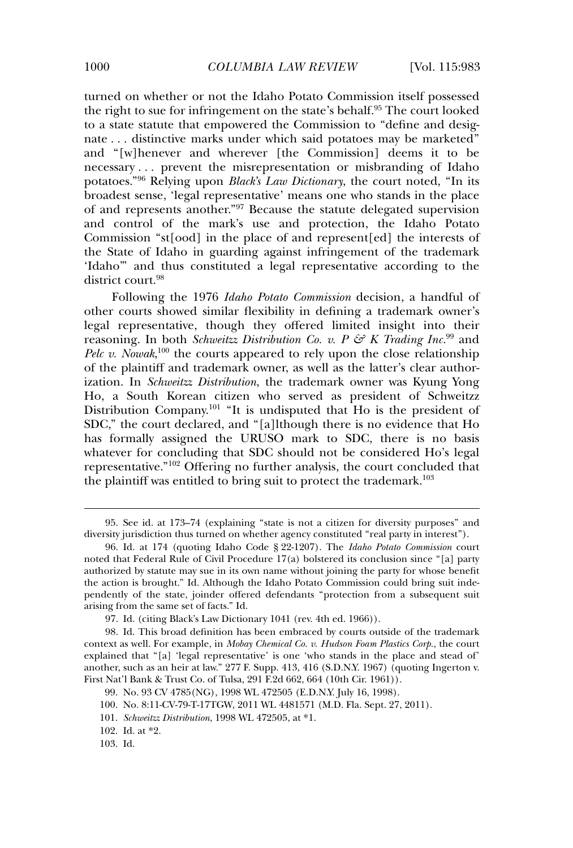turned on whether or not the Idaho Potato Commission itself possessed the right to sue for infringement on the state's behalf.<sup>95</sup> The court looked to a state statute that empowered the Commission to "define and designate . . . distinctive marks under which said potatoes may be marketed" and "[w]henever and wherever [the Commission] deems it to be necessary . . . prevent the misrepresentation or misbranding of Idaho potatoes." <sup>96</sup> Relying upon *Black's Law Dictionary*, the court noted, "In its broadest sense, 'legal representative' means one who stands in the place of and represents another." <sup>97</sup> Because the statute delegated supervision and control of the mark's use and protection, the Idaho Potato Commission "st[ood] in the place of and represent[ed] the interests of the State of Idaho in guarding against infringement of the trademark 'Idaho'" and thus constituted a legal representative according to the district court.<sup>98</sup>

Following the 1976 *Idaho Potato Commission* decision, a handful of other courts showed similar flexibility in defining a trademark owner's legal representative, though they offered limited insight into their reasoning. In both *Schweitzz Distribution Co. v. P & K Trading Inc.*<sup>99</sup> and Pelc *v.* Nowak,<sup>100</sup> the courts appeared to rely upon the close relationship of the plaintiff and trademark owner, as well as the latter's clear authorization. In *Schweitzz Distribution*, the trademark owner was Kyung Yong Ho, a South Korean citizen who served as president of Schweitzz Distribution Company.<sup>101</sup> "It is undisputed that Ho is the president of SDC," the court declared, and "[a]lthough there is no evidence that Ho has formally assigned the URUSO mark to SDC, there is no basis whatever for concluding that SDC should not be considered Ho's legal representative." <sup>102</sup> Offering no further analysis, the court concluded that the plaintiff was entitled to bring suit to protect the trademark.<sup>103</sup>

<sup>95.</sup> See id. at 173–74 (explaining "state is not a citizen for diversity purposes" and diversity jurisdiction thus turned on whether agency constituted "real party in interest").

<sup>96.</sup> Id. at 174 (quoting Idaho Code § 22-1207). The *Idaho Potato Commission* court noted that Federal Rule of Civil Procedure 17(a) bolstered its conclusion since "[a] party authorized by statute may sue in its own name without joining the party for whose benefit the action is brought." Id. Although the Idaho Potato Commission could bring suit independently of the state, joinder offered defendants "protection from a subsequent suit arising from the same set of facts." Id.

<sup>97.</sup> Id. (citing Black's Law Dictionary 1041 (rev. 4th ed. 1966)).

<sup>98.</sup> Id. This broad definition has been embraced by courts outside of the trademark context as well. For example, in *Mobay Chemical Co. v. Hudson Foam Plastics Corp.*, the court explained that "[a] 'legal representative' is one 'who stands in the place and stead of' another, such as an heir at law." 277 F. Supp. 413, 416 (S.D.N.Y. 1967) (quoting Ingerton v. First Nat'l Bank & Trust Co. of Tulsa, 291 F.2d 662, 664 (10th Cir. 1961)).

<sup>99.</sup> No. 93 CV 4785(NG), 1998 WL 472505 (E.D.N.Y. July 16, 1998).

<sup>100.</sup> No. 8:11-CV-79-T-17TGW, 2011 WL 4481571 (M.D. Fla. Sept. 27, 2011).

<sup>101.</sup> *Schweitzz Distribution*, 1998 WL 472505, at \*1.

<sup>102.</sup> Id. at \*2.

<sup>103.</sup> Id.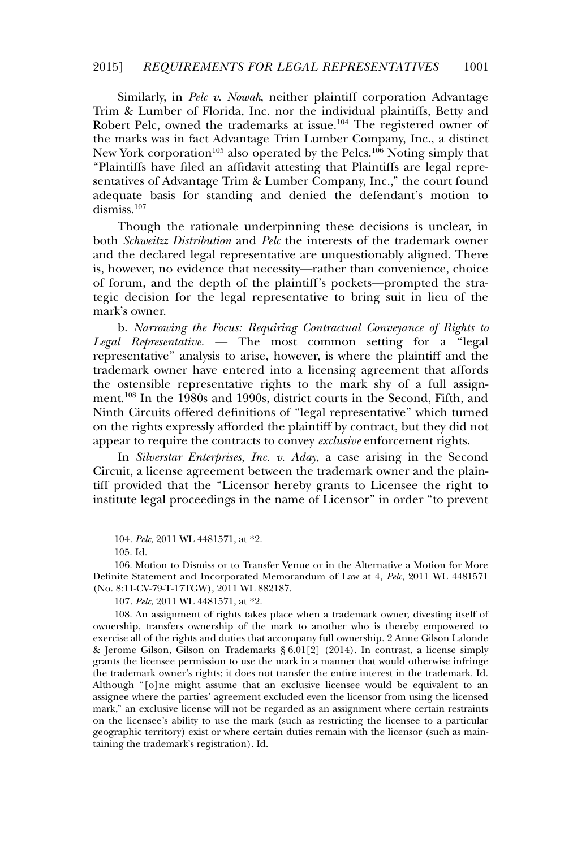Similarly, in *Pelc v. Nowak*, neither plaintiff corporation Advantage Trim & Lumber of Florida, Inc. nor the individual plaintiffs, Betty and Robert Pelc, owned the trademarks at issue.<sup>104</sup> The registered owner of the marks was in fact Advantage Trim Lumber Company, Inc., a distinct New York corporation<sup>105</sup> also operated by the Pelcs.<sup>106</sup> Noting simply that "Plaintiffs have filed an affidavit attesting that Plaintiffs are legal representatives of Advantage Trim & Lumber Company, Inc.," the court found adequate basis for standing and denied the defendant's motion to dismiss.<sup>107</sup>

Though the rationale underpinning these decisions is unclear, in both *Schweitzz Distribution* and *Pelc* the interests of the trademark owner and the declared legal representative are unquestionably aligned. There is, however, no evidence that necessity—rather than convenience, choice of forum, and the depth of the plaintiff's pockets—prompted the strategic decision for the legal representative to bring suit in lieu of the mark's owner.

b. *Narrowing the Focus: Requiring Contractual Conveyance of Rights to Legal Representative.* — The most common setting for a "legal representative" analysis to arise, however, is where the plaintiff and the trademark owner have entered into a licensing agreement that affords the ostensible representative rights to the mark shy of a full assignment.<sup>108</sup> In the 1980s and 1990s, district courts in the Second, Fifth, and Ninth Circuits offered definitions of "legal representative" which turned on the rights expressly afforded the plaintiff by contract, but they did not appear to require the contracts to convey *exclusive* enforcement rights.

In *Silverstar Enterprises, Inc. v. Aday*, a case arising in the Second Circuit, a license agreement between the trademark owner and the plaintiff provided that the "Licensor hereby grants to Licensee the right to institute legal proceedings in the name of Licensor" in order "to prevent

108. An assignment of rights takes place when a trademark owner, divesting itself of ownership, transfers ownership of the mark to another who is thereby empowered to exercise all of the rights and duties that accompany full ownership. 2 Anne Gilson Lalonde & Jerome Gilson, Gilson on Trademarks § 6.01[2] (2014). In contrast, a license simply grants the licensee permission to use the mark in a manner that would otherwise infringe the trademark owner's rights; it does not transfer the entire interest in the trademark. Id. Although "[o]ne might assume that an exclusive licensee would be equivalent to an assignee where the parties' agreement excluded even the licensor from using the licensed mark," an exclusive license will not be regarded as an assignment where certain restraints on the licensee's ability to use the mark (such as restricting the licensee to a particular geographic territory) exist or where certain duties remain with the licensor (such as maintaining the trademark's registration). Id.

<sup>104</sup>*. Pelc*, 2011 WL 4481571, at \*2.

<sup>105.</sup> Id.

<sup>106.</sup> Motion to Dismiss or to Transfer Venue or in the Alternative a Motion for More Definite Statement and Incorporated Memorandum of Law at 4, *Pelc*, 2011 WL 4481571 (No. 8:11-CV-79-T-17TGW), 2011 WL 882187.

<sup>107</sup>*. Pelc*, 2011 WL 4481571, at \*2.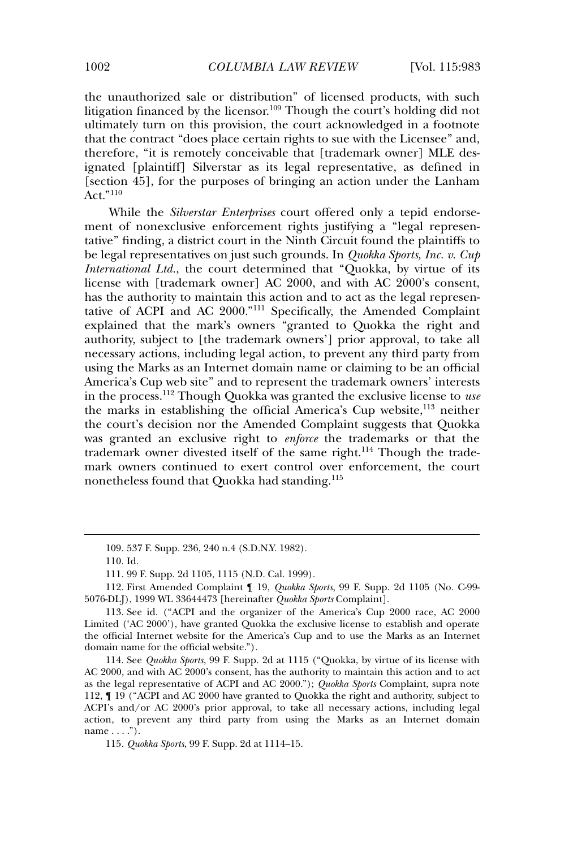the unauthorized sale or distribution" of licensed products, with such litigation financed by the licensor.<sup>109</sup> Though the court's holding did not ultimately turn on this provision, the court acknowledged in a footnote that the contract "does place certain rights to sue with the Licensee" and, therefore, "it is remotely conceivable that [trademark owner] MLE designated [plaintiff] Silverstar as its legal representative, as defined in [section 45], for the purposes of bringing an action under the Lanham Act." 110

While the *Silverstar Enterprises* court offered only a tepid endorsement of nonexclusive enforcement rights justifying a "legal representative" finding, a district court in the Ninth Circuit found the plaintiffs to be legal representatives on just such grounds. In *Quokka Sports, Inc. v. Cup International Ltd.*, the court determined that "Quokka, by virtue of its license with [trademark owner] AC 2000, and with AC 2000's consent, has the authority to maintain this action and to act as the legal representative of ACPI and AC 2000." <sup>111</sup> Specifically, the Amended Complaint explained that the mark's owners "granted to Quokka the right and authority, subject to [the trademark owners'] prior approval, to take all necessary actions, including legal action, to prevent any third party from using the Marks as an Internet domain name or claiming to be an official America's Cup web site" and to represent the trademark owners' interests in the process.<sup>112</sup> Though Quokka was granted the exclusive license to *use* the marks in establishing the official America's Cup website,<sup>113</sup> neither the court's decision nor the Amended Complaint suggests that Quokka was granted an exclusive right to *enforce* the trademarks or that the trademark owner divested itself of the same right.<sup>114</sup> Though the trademark owners continued to exert control over enforcement, the court nonetheless found that Quokka had standing.<sup>115</sup>

<sup>109. 537</sup> F. Supp. 236, 240 n.4 (S.D.N.Y. 1982).

<sup>110.</sup> Id.

<sup>111. 99</sup> F. Supp. 2d 1105, 1115 (N.D. Cal. 1999).

<sup>112.</sup> First Amended Complaint ¶ 19, *Quokka Sports*, 99 F. Supp. 2d 1105 (No. C-99- 5076-DLJ), 1999 WL 33644473 [hereinafter *Quokka Sports* Complaint].

<sup>113.</sup> See id. ("ACPI and the organizer of the America's Cup 2000 race, AC 2000 Limited ('AC 2000'), have granted Quokka the exclusive license to establish and operate the official Internet website for the America's Cup and to use the Marks as an Internet domain name for the official website.").

<sup>114.</sup> See *Quokka Sports*, 99 F. Supp. 2d at 1115 ("Quokka, by virtue of its license with AC 2000, and with AC 2000's consent, has the authority to maintain this action and to act as the legal representative of ACPI and AC 2000."); *Quokka Sports* Complaint, supra note 112, ¶ 19 ("ACPI and AC 2000 have granted to Quokka the right and authority, subject to ACPI's and/or AC 2000's prior approval, to take all necessary actions, including legal action, to prevent any third party from using the Marks as an Internet domain name . . . .").

<sup>115</sup>*. Quokka Sports*, 99 F. Supp. 2d at 1114–15.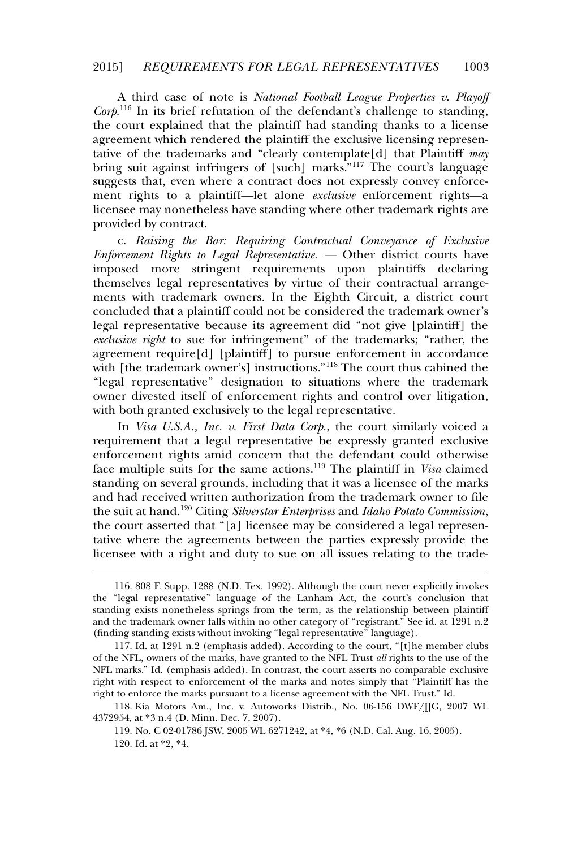A third case of note is *National Football League Properties v. Playoff* Corp.<sup>116</sup> In its brief refutation of the defendant's challenge to standing, the court explained that the plaintiff had standing thanks to a license agreement which rendered the plaintiff the exclusive licensing representative of the trademarks and "clearly contemplate[d] that Plaintiff *may* bring suit against infringers of [such] marks." <sup>117</sup> The court's language suggests that, even where a contract does not expressly convey enforcement rights to a plaintiff—let alone *exclusive* enforcement rights—a licensee may nonetheless have standing where other trademark rights are provided by contract.

c. *Raising the Bar: Requiring Contractual Conveyance of Exclusive Enforcement Rights to Legal Representative. —* Other district courts have imposed more stringent requirements upon plaintiffs declaring themselves legal representatives by virtue of their contractual arrangements with trademark owners. In the Eighth Circuit, a district court concluded that a plaintiff could not be considered the trademark owner's legal representative because its agreement did "not give [plaintiff] the *exclusive right* to sue for infringement" of the trademarks; "rather, the agreement require[d] [plaintiff] to pursue enforcement in accordance with [the trademark owner's] instructions." <sup>118</sup> The court thus cabined the "legal representative" designation to situations where the trademark owner divested itself of enforcement rights and control over litigation, with both granted exclusively to the legal representative.

In *Visa U.S.A., Inc. v. First Data Corp.*, the court similarly voiced a requirement that a legal representative be expressly granted exclusive enforcement rights amid concern that the defendant could otherwise face multiple suits for the same actions.<sup>119</sup> The plaintiff in *Visa* claimed standing on several grounds, including that it was a licensee of the marks and had received written authorization from the trademark owner to file the suit at hand.<sup>120</sup> Citing *Silverstar Enterprises* and *Idaho Potato Commission*, the court asserted that "[a] licensee may be considered a legal representative where the agreements between the parties expressly provide the licensee with a right and duty to sue on all issues relating to the trade-

118. Kia Motors Am., Inc. v. Autoworks Distrib., No. 06-156 DWF/JJG, 2007 WL 4372954, at \*3 n.4 (D. Minn. Dec. 7, 2007).

<sup>116. 808</sup> F. Supp. 1288 (N.D. Tex. 1992). Although the court never explicitly invokes the "legal representative" language of the Lanham Act, the court's conclusion that standing exists nonetheless springs from the term, as the relationship between plaintiff and the trademark owner falls within no other category of "registrant." See id. at 1291 n.2 (finding standing exists without invoking "legal representative" language).

<sup>117.</sup> Id. at 1291 n.2 (emphasis added). According to the court, "[t]he member clubs of the NFL, owners of the marks, have granted to the NFL Trust *all* rights to the use of the NFL marks." Id. (emphasis added). In contrast, the court asserts no comparable exclusive right with respect to enforcement of the marks and notes simply that "Plaintiff has the right to enforce the marks pursuant to a license agreement with the NFL Trust." Id.

<sup>119.</sup> No. C 02-01786 JSW, 2005 WL 6271242, at \*4, \*6 (N.D. Cal. Aug. 16, 2005). 120. Id. at \*2, \*4.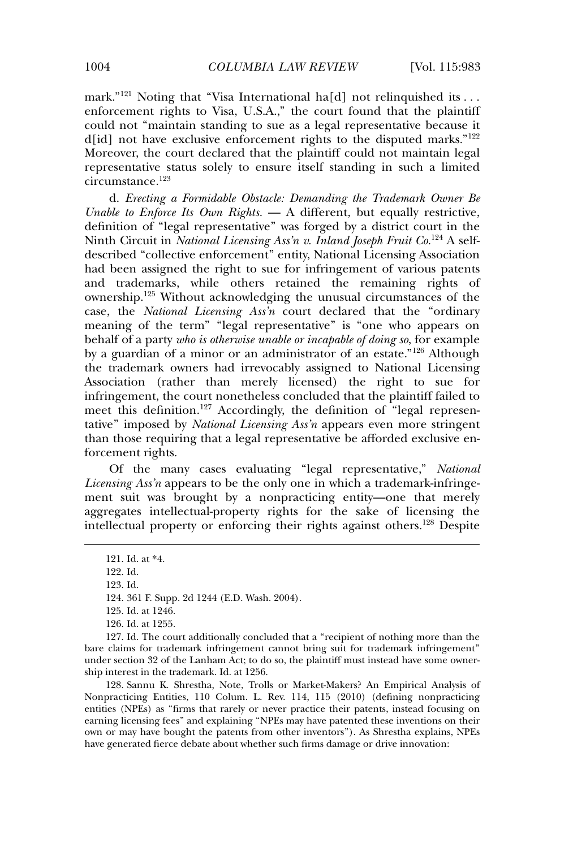mark."<sup>121</sup> Noting that "Visa International ha[d] not relinquished its... enforcement rights to Visa, U.S.A.," the court found that the plaintiff could not "maintain standing to sue as a legal representative because it d[id] not have exclusive enforcement rights to the disputed marks."<sup>122</sup> Moreover, the court declared that the plaintiff could not maintain legal representative status solely to ensure itself standing in such a limited circumstance.<sup>123</sup>

d. *Erecting a Formidable Obstacle: Demanding the Trademark Owner Be Unable to Enforce Its Own Rights.* — A different, but equally restrictive, definition of "legal representative" was forged by a district court in the Ninth Circuit in *National Licensing Ass'n v. Inland Joseph Fruit Co*. <sup>124</sup> A selfdescribed "collective enforcement" entity, National Licensing Association had been assigned the right to sue for infringement of various patents and trademarks, while others retained the remaining rights of ownership.<sup>125</sup> Without acknowledging the unusual circumstances of the case, the *National Licensing Ass'n* court declared that the "ordinary meaning of the term" "legal representative" is "one who appears on behalf of a party *who is otherwise unable or incapable of doing so*, for example by a guardian of a minor or an administrator of an estate." <sup>126</sup> Although the trademark owners had irrevocably assigned to National Licensing Association (rather than merely licensed) the right to sue for infringement, the court nonetheless concluded that the plaintiff failed to meet this definition.<sup>127</sup> Accordingly, the definition of "legal representative" imposed by *National Licensing Ass'n* appears even more stringent than those requiring that a legal representative be afforded exclusive enforcement rights.

Of the many cases evaluating "legal representative," *National Licensing Ass'n* appears to be the only one in which a trademark-infringement suit was brought by a nonpracticing entity—one that merely aggregates intellectual-property rights for the sake of licensing the intellectual property or enforcing their rights against others.<sup>128</sup> Despite

122. Id.

123. Id.

124. 361 F. Supp. 2d 1244 (E.D. Wash. 2004).

126. Id. at 1255.

127. Id. The court additionally concluded that a "recipient of nothing more than the bare claims for trademark infringement cannot bring suit for trademark infringement" under section 32 of the Lanham Act; to do so, the plaintiff must instead have some ownership interest in the trademark. Id. at 1256.

128. Sannu K. Shrestha, Note, Trolls or Market-Makers? An Empirical Analysis of Nonpracticing Entities, 110 Colum. L. Rev. 114, 115 (2010) (defining nonpracticing entities (NPEs) as "firms that rarely or never practice their patents, instead focusing on earning licensing fees" and explaining "NPEs may have patented these inventions on their own or may have bought the patents from other inventors"). As Shrestha explains, NPEs have generated fierce debate about whether such firms damage or drive innovation:

<sup>121.</sup> Id. at \*4.

<sup>125.</sup> Id. at 1246.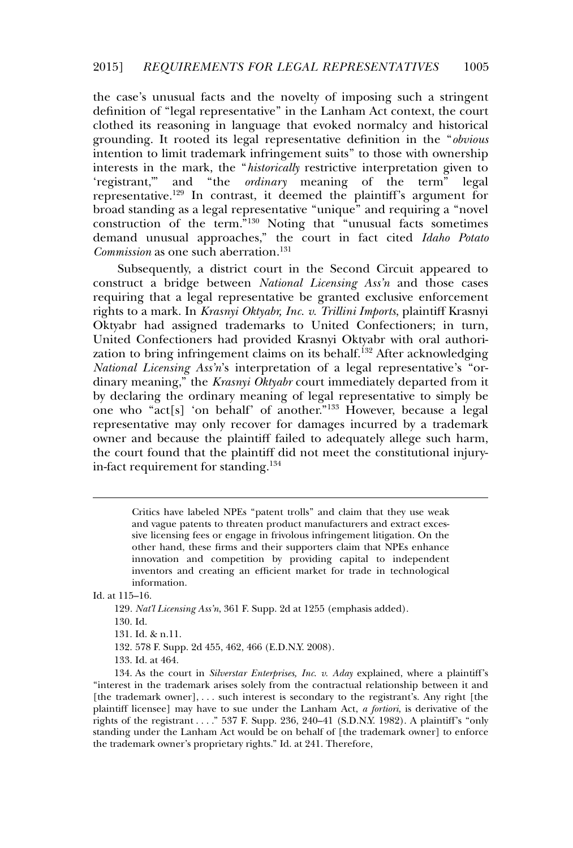the case's unusual facts and the novelty of imposing such a stringent definition of "legal representative" in the Lanham Act context, the court clothed its reasoning in language that evoked normalcy and historical grounding. It rooted its legal representative definition in the "*obvious* intention to limit trademark infringement suits" to those with ownership interests in the mark, the "*historically* restrictive interpretation given to 'registrant,'" and "the *ordinary* meaning of the term" legal representative.<sup>129</sup> In contrast, it deemed the plaintiff's argument for broad standing as a legal representative "unique" and requiring a "novel construction of the term." <sup>130</sup> Noting that "unusual facts sometimes demand unusual approaches," the court in fact cited *Idaho Potato Commission* as one such aberration.<sup>131</sup>

Subsequently, a district court in the Second Circuit appeared to construct a bridge between *National Licensing Ass'n* and those cases requiring that a legal representative be granted exclusive enforcement rights to a mark. In *Krasnyi Oktyabr, Inc. v. Trillini Imports*, plaintiff Krasnyi Oktyabr had assigned trademarks to United Confectioners; in turn, United Confectioners had provided Krasnyi Oktyabr with oral authorization to bring infringement claims on its behalf.<sup>132</sup> After acknowledging *National Licensing Ass'n*'s interpretation of a legal representative's "ordinary meaning," the *Krasnyi Oktyabr* court immediately departed from it by declaring the ordinary meaning of legal representative to simply be one who "act[s] 'on behalf' of another." <sup>133</sup> However, because a legal representative may only recover for damages incurred by a trademark owner and because the plaintiff failed to adequately allege such harm, the court found that the plaintiff did not meet the constitutional injuryin-fact requirement for standing.<sup>134</sup>

Critics have labeled NPEs "patent trolls" and claim that they use weak and vague patents to threaten product manufacturers and extract excessive licensing fees or engage in frivolous infringement litigation. On the other hand, these firms and their supporters claim that NPEs enhance innovation and competition by providing capital to independent inventors and creating an efficient market for trade in technological information.

Id. at 115–16.

- 132. 578 F. Supp. 2d 455, 462, 466 (E.D.N.Y. 2008).
- 133. Id. at 464.

<sup>129</sup>*. Nat'l Licensing Ass'n*, 361 F. Supp. 2d at 1255 (emphasis added).

<sup>130.</sup> Id.

<sup>131.</sup> Id. & n.11.

<sup>134.</sup> As the court in *Silverstar Enterprises, Inc*. *v. Aday* explained, where a plaintiff's "interest in the trademark arises solely from the contractual relationship between it and [the trademark owner], . . . such interest is secondary to the registrant's. Any right [the plaintiff licensee] may have to sue under the Lanham Act, *a fortiori*, is derivative of the rights of the registrant . . . ." 537 F. Supp. 236, 240–41 (S.D.N.Y. 1982). A plaintiff's "only standing under the Lanham Act would be on behalf of [the trademark owner] to enforce the trademark owner's proprietary rights." Id. at 241. Therefore,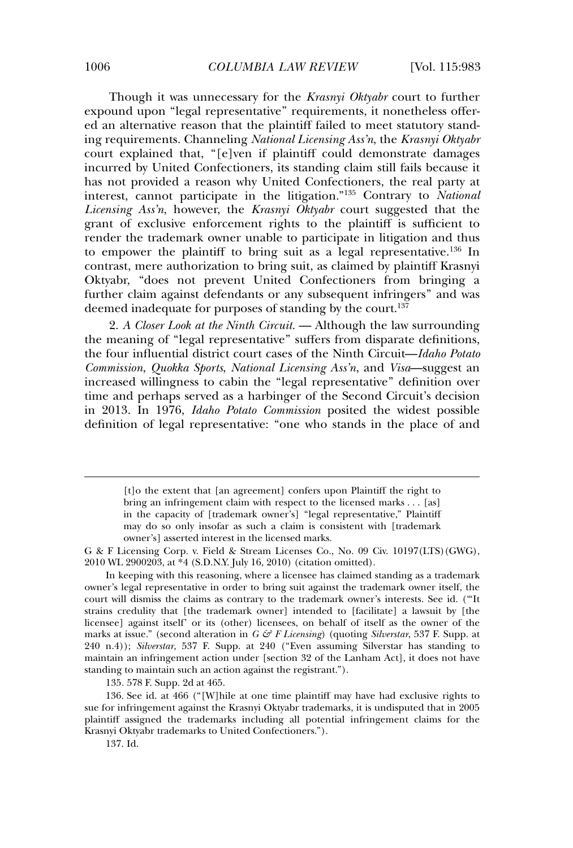Though it was unnecessary for the *Krasnyi Oktyabr* court to further expound upon "legal representative" requirements, it nonetheless offered an alternative reason that the plaintiff failed to meet statutory standing requirements. Channeling *National Licensing Ass'n*, the *Krasnyi Oktyabr* court explained that, "[e]ven if plaintiff could demonstrate damages incurred by United Confectioners, its standing claim still fails because it has not provided a reason why United Confectioners, the real party at interest, cannot participate in the litigation." <sup>135</sup> Contrary to *National Licensing Ass'n*, however, the *Krasnyi Oktyabr* court suggested that the grant of exclusive enforcement rights to the plaintiff is sufficient to render the trademark owner unable to participate in litigation and thus to empower the plaintiff to bring suit as a legal representative.<sup>136</sup> In contrast, mere authorization to bring suit, as claimed by plaintiff Krasnyi Oktyabr, "does not prevent United Confectioners from bringing a further claim against defendants or any subsequent infringers" and was deemed inadequate for purposes of standing by the court.<sup>137</sup>

2. *A Closer Look at the Ninth Circuit.* — Although the law surrounding the meaning of "legal representative" suffers from disparate definitions, the four influential district court cases of the Ninth Circuit—*Idaho Potato Commission*, *Quokka Sports*, *National Licensing Ass'n*, and *Visa*—suggest an increased willingness to cabin the "legal representative" definition over time and perhaps served as a harbinger of the Second Circuit's decision in 2013. In 1976, *Idaho Potato Commission* posited the widest possible definition of legal representative: "one who stands in the place of and

[t]o the extent that [an agreement] confers upon Plaintiff the right to bring an infringement claim with respect to the licensed marks . . . [as] in the capacity of [trademark owner's] "legal representative," Plaintiff may do so only insofar as such a claim is consistent with [trademark owner's] asserted interest in the licensed marks.

G & F Licensing Corp. v. Field & Stream Licenses Co., No. 09 Civ. 10197(LTS)(GWG), 2010 WL 2900203, at \*4 (S.D.N.Y. July 16, 2010) (citation omitted).

In keeping with this reasoning, where a licensee has claimed standing as a trademark owner's legal representative in order to bring suit against the trademark owner itself, the court will dismiss the claims as contrary to the trademark owner's interests. See id. ("'It strains credulity that [the trademark owner] intended to [facilitate] a lawsuit by [the licensee] against itself' or its (other) licensees, on behalf of itself as the owner of the marks at issue." (second alteration in *G & F Licensing*) (quoting *Silverstar*, 537 F. Supp. at 240 n.4)); *Silverstar*, 537 F. Supp. at 240 ("Even assuming Silverstar has standing to maintain an infringement action under [section 32 of the Lanham Act], it does not have standing to maintain such an action against the registrant.").

135*.* 578 F. Supp. 2d at 465.

136. See id. at 466 ("[W]hile at one time plaintiff may have had exclusive rights to sue for infringement against the Krasnyi Oktyabr trademarks, it is undisputed that in 2005 plaintiff assigned the trademarks including all potential infringement claims for the Krasnyi Oktyabr trademarks to United Confectioners.").

137. Id.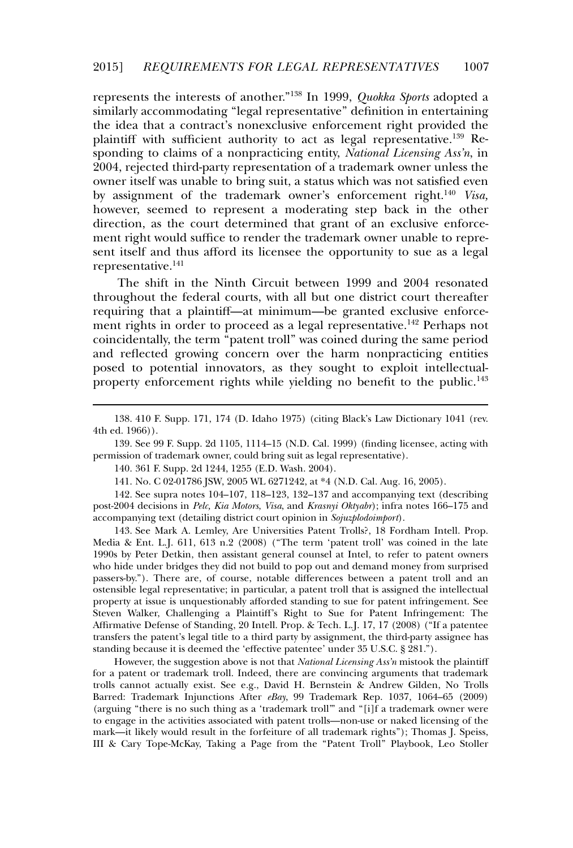represents the interests of another." <sup>138</sup> In 1999, *Quokka Sports* adopted a similarly accommodating "legal representative" definition in entertaining the idea that a contract's nonexclusive enforcement right provided the plaintiff with sufficient authority to act as legal representative.<sup>139</sup> Responding to claims of a nonpracticing entity, *National Licensing Ass'n*, in 2004, rejected third-party representation of a trademark owner unless the owner itself was unable to bring suit, a status which was not satisfied even by assignment of the trademark owner's enforcement right.<sup>140</sup> *Visa,* however, seemed to represent a moderating step back in the other direction, as the court determined that grant of an exclusive enforcement right would suffice to render the trademark owner unable to represent itself and thus afford its licensee the opportunity to sue as a legal representative.<sup>141</sup>

The shift in the Ninth Circuit between 1999 and 2004 resonated throughout the federal courts, with all but one district court thereafter requiring that a plaintiff—at minimum—be granted exclusive enforcement rights in order to proceed as a legal representative.<sup>142</sup> Perhaps not coincidentally, the term "patent troll" was coined during the same period and reflected growing concern over the harm nonpracticing entities posed to potential innovators, as they sought to exploit intellectualproperty enforcement rights while yielding no benefit to the public.<sup>143</sup>

139. See 99 F. Supp. 2d 1105, 1114–15 (N.D. Cal. 1999) (finding licensee, acting with permission of trademark owner, could bring suit as legal representative).

140. 361 F. Supp. 2d 1244, 1255 (E.D. Wash. 2004).

141. No. C 02-01786 JSW, 2005 WL 6271242, at \*4 (N.D. Cal. Aug. 16, 2005).

142. See supra notes 104–107, 118–123, 132–137 and accompanying text (describing post-2004 decisions in *Pelc, Kia Motors*, *Visa*, and *Krasnyi Oktyabr*); infra notes 166–175 and accompanying text (detailing district court opinion in *Sojuzplodoimport*).

143. See Mark A. Lemley, Are Universities Patent Trolls?, 18 Fordham Intell. Prop. Media & Ent. L.J. 611, 613 n.2 (2008) ("The term 'patent troll' was coined in the late 1990s by Peter Detkin, then assistant general counsel at Intel, to refer to patent owners who hide under bridges they did not build to pop out and demand money from surprised passers-by."). There are, of course, notable differences between a patent troll and an ostensible legal representative; in particular, a patent troll that is assigned the intellectual property at issue is unquestionably afforded standing to sue for patent infringement. See Steven Walker, Challenging a Plaintiff's Right to Sue for Patent Infringement: The Affirmative Defense of Standing, 20 Intell. Prop. & Tech. L.J. 17, 17 (2008) ("If a patentee transfers the patent's legal title to a third party by assignment, the third-party assignee has standing because it is deemed the 'effective patentee' under 35 U.S.C. § 281.").

However, the suggestion above is not that *National Licensing Ass'n* mistook the plaintiff for a patent or trademark troll. Indeed, there are convincing arguments that trademark trolls cannot actually exist. See e.g., David H. Bernstein & Andrew Gilden, No Trolls Barred: Trademark Injunctions After *eBay*, 99 Trademark Rep. 1037, 1064–65 (2009) (arguing "there is no such thing as a 'trademark troll'" and "[i]f a trademark owner were to engage in the activities associated with patent trolls—non-use or naked licensing of the mark—it likely would result in the forfeiture of all trademark rights"); Thomas J. Speiss, III & Cary Tope-McKay, Taking a Page from the "Patent Troll" Playbook, Leo Stoller

<sup>138. 410</sup> F. Supp. 171, 174 (D. Idaho 1975) (citing Black's Law Dictionary 1041 (rev. 4th ed. 1966)).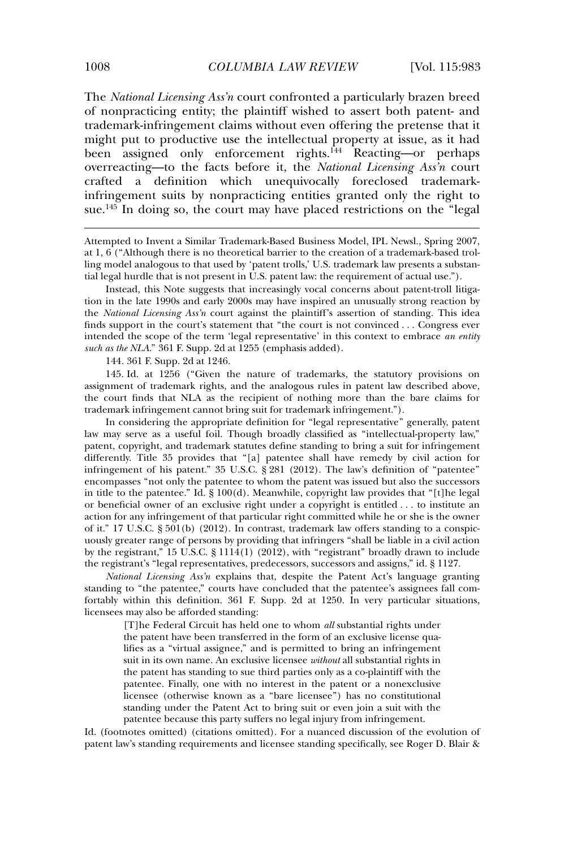The *National Licensing Ass'n* court confronted a particularly brazen breed of nonpracticing entity; the plaintiff wished to assert both patent- and trademark-infringement claims without even offering the pretense that it might put to productive use the intellectual property at issue, as it had been assigned only enforcement rights.<sup>144</sup> Reacting—or perhaps overreacting—to the facts before it, the *National Licensing Ass'n* court crafted a definition which unequivocally foreclosed trademarkinfringement suits by nonpracticing entities granted only the right to sue.<sup>145</sup> In doing so, the court may have placed restrictions on the "legal

Attempted to Invent a Similar Trademark-Based Business Model, IPL Newsl., Spring 2007, at 1, 6 ("Although there is no theoretical barrier to the creation of a trademark-based trolling model analogous to that used by 'patent trolls,' U.S. trademark law presents a substantial legal hurdle that is not present in U.S. patent law: the requirement of actual use.").

Instead, this Note suggests that increasingly vocal concerns about patent-troll litigation in the late 1990s and early 2000s may have inspired an unusually strong reaction by the *National Licensing Ass'n* court against the plaintiff's assertion of standing. This idea finds support in the court's statement that "the court is not convinced . . . Congress ever intended the scope of the term 'legal representative' in this context to embrace *an entity such as the NLA*." 361 F. Supp. 2d at 1255 (emphasis added).

144*.* 361 F. Supp. 2d at 1246.

145. Id. at 1256 ("Given the nature of trademarks, the statutory provisions on assignment of trademark rights, and the analogous rules in patent law described above, the court finds that NLA as the recipient of nothing more than the bare claims for trademark infringement cannot bring suit for trademark infringement.").

In considering the appropriate definition for "legal representative" generally, patent law may serve as a useful foil. Though broadly classified as "intellectual-property law," patent, copyright, and trademark statutes define standing to bring a suit for infringement differently. Title 35 provides that "[a] patentee shall have remedy by civil action for infringement of his patent."  $35 \text{ U.S.C.}$  §  $281$  (2012). The law's definition of "patentee" encompasses "not only the patentee to whom the patent was issued but also the successors in title to the patentee." Id. § 100(d). Meanwhile, copyright law provides that "[t]he legal or beneficial owner of an exclusive right under a copyright is entitled . . . to institute an action for any infringement of that particular right committed while he or she is the owner of it." 17 U.S.C. § 501(b) (2012). In contrast, trademark law offers standing to a conspicuously greater range of persons by providing that infringers "shall be liable in a civil action by the registrant," 15 U.S.C. § 1114(1) (2012), with "registrant" broadly drawn to include the registrant's "legal representatives, predecessors, successors and assigns," id. § 1127.

*National Licensing Ass'n* explains that, despite the Patent Act's language granting standing to "the patentee," courts have concluded that the patentee's assignees fall comfortably within this definition. 361 F. Supp. 2d at 1250. In very particular situations, licensees may also be afforded standing:

[T]he Federal Circuit has held one to whom *all* substantial rights under the patent have been transferred in the form of an exclusive license qualifies as a "virtual assignee," and is permitted to bring an infringement suit in its own name. An exclusive licensee *without* all substantial rights in the patent has standing to sue third parties only as a co-plaintiff with the patentee. Finally, one with no interest in the patent or a nonexclusive licensee (otherwise known as a "bare licensee") has no constitutional standing under the Patent Act to bring suit or even join a suit with the patentee because this party suffers no legal injury from infringement.

Id. (footnotes omitted) (citations omitted). For a nuanced discussion of the evolution of patent law's standing requirements and licensee standing specifically, see Roger D. Blair &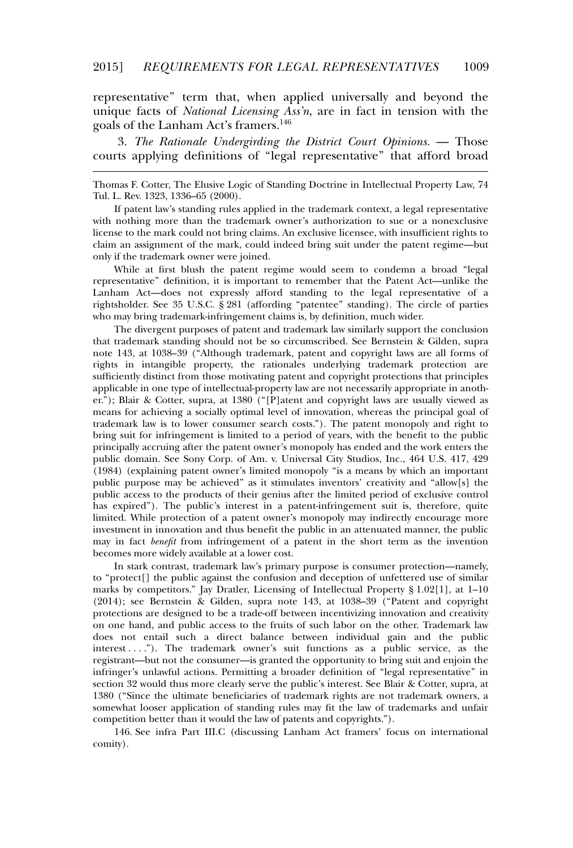representative" term that, when applied universally and beyond the unique facts of *National Licensing Ass'n*, are in fact in tension with the goals of the Lanham Act's framers.<sup>146</sup>

3. *The Rationale Undergirding the District Court Opinions.* — Those courts applying definitions of "legal representative" that afford broad

Thomas F. Cotter, The Elusive Logic of Standing Doctrine in Intellectual Property Law, 74 Tul. L. Rev. 1323, 1336–65 (2000).

If patent law's standing rules applied in the trademark context, a legal representative with nothing more than the trademark owner's authorization to sue or a nonexclusive license to the mark could not bring claims. An exclusive licensee, with insufficient rights to claim an assignment of the mark, could indeed bring suit under the patent regime—but only if the trademark owner were joined.

While at first blush the patent regime would seem to condemn a broad "legal representative" definition, it is important to remember that the Patent Act—unlike the Lanham Act—does not expressly afford standing to the legal representative of a rightsholder. See 35 U.S.C. § 281 (affording "patentee" standing). The circle of parties who may bring trademark-infringement claims is, by definition, much wider.

The divergent purposes of patent and trademark law similarly support the conclusion that trademark standing should not be so circumscribed. See Bernstein & Gilden, supra note 143, at 1038–39 ("Although trademark, patent and copyright laws are all forms of rights in intangible property, the rationales underlying trademark protection are sufficiently distinct from those motivating patent and copyright protections that principles applicable in one type of intellectual-property law are not necessarily appropriate in another."); Blair & Cotter, supra, at 1380 ("[P]atent and copyright laws are usually viewed as means for achieving a socially optimal level of innovation, whereas the principal goal of trademark law is to lower consumer search costs."). The patent monopoly and right to bring suit for infringement is limited to a period of years, with the benefit to the public principally accruing after the patent owner's monopoly has ended and the work enters the public domain. See Sony Corp. of Am. v. Universal City Studios, Inc., 464 U.S. 417, 429 (1984) (explaining patent owner's limited monopoly "is a means by which an important public purpose may be achieved" as it stimulates inventors' creativity and "allow[s] the public access to the products of their genius after the limited period of exclusive control has expired"). The public's interest in a patent-infringement suit is, therefore, quite limited. While protection of a patent owner's monopoly may indirectly encourage more investment in innovation and thus benefit the public in an attenuated manner, the public may in fact *benefit* from infringement of a patent in the short term as the invention becomes more widely available at a lower cost.

In stark contrast, trademark law's primary purpose is consumer protection—namely, to "protect[] the public against the confusion and deception of unfettered use of similar marks by competitors." Jay Dratler, Licensing of Intellectual Property § 1.02[1], at 1–10 (2014); see Bernstein & Gilden, supra note 143, at 1038–39 ("Patent and copyright protections are designed to be a trade-off between incentivizing innovation and creativity on one hand, and public access to the fruits of such labor on the other. Trademark law does not entail such a direct balance between individual gain and the public interest . . . ."). The trademark owner's suit functions as a public service, as the registrant—but not the consumer—is granted the opportunity to bring suit and enjoin the infringer's unlawful actions. Permitting a broader definition of "legal representative" in section 32 would thus more clearly serve the public's interest. See Blair & Cotter, supra, at 1380 ("Since the ultimate beneficiaries of trademark rights are not trademark owners, a somewhat looser application of standing rules may fit the law of trademarks and unfair competition better than it would the law of patents and copyrights.").

146. See infra Part III.C (discussing Lanham Act framers' focus on international comity).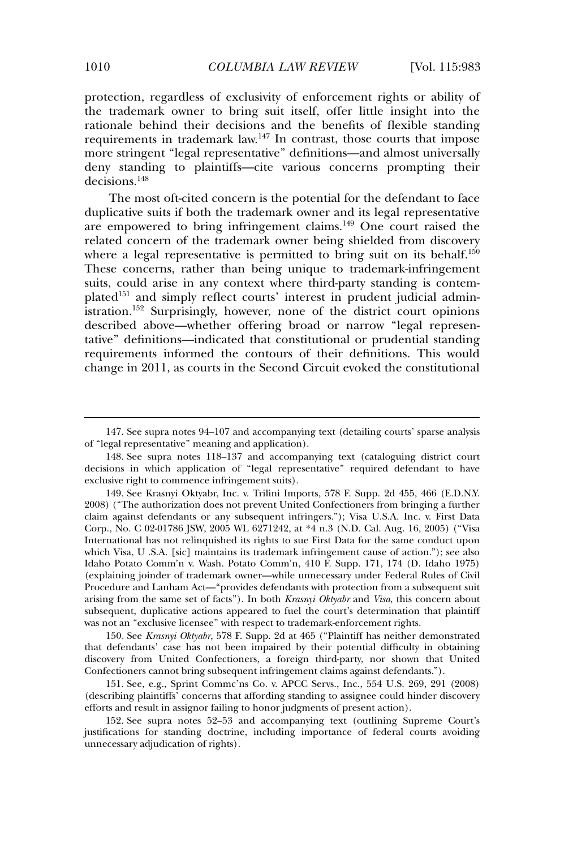protection, regardless of exclusivity of enforcement rights or ability of the trademark owner to bring suit itself, offer little insight into the rationale behind their decisions and the benefits of flexible standing requirements in trademark law.<sup>147</sup> In contrast, those courts that impose more stringent "legal representative" definitions—and almost universally deny standing to plaintiffs—cite various concerns prompting their decisions.<sup>148</sup>

The most oft-cited concern is the potential for the defendant to face duplicative suits if both the trademark owner and its legal representative are empowered to bring infringement claims.<sup>149</sup> One court raised the related concern of the trademark owner being shielded from discovery where a legal representative is permitted to bring suit on its behalf.<sup>150</sup> These concerns, rather than being unique to trademark-infringement suits, could arise in any context where third-party standing is contemplated<sup>151</sup> and simply reflect courts' interest in prudent judicial administration.<sup>152</sup> Surprisingly, however, none of the district court opinions described above—whether offering broad or narrow "legal representative" definitions—indicated that constitutional or prudential standing requirements informed the contours of their definitions. This would change in 2011, as courts in the Second Circuit evoked the constitutional

150*.* See *Krasnyi Oktyabr*, 578 F. Supp. 2d at 465 ("Plaintiff has neither demonstrated that defendants' case has not been impaired by their potential difficulty in obtaining discovery from United Confectioners, a foreign third-party, nor shown that United Confectioners cannot bring subsequent infringement claims against defendants.").

151. See, e.g., Sprint Commc'ns Co. v. APCC Servs., Inc., 554 U.S. 269, 291 (2008) (describing plaintiffs' concerns that affording standing to assignee could hinder discovery efforts and result in assignor failing to honor judgments of present action).

152. See supra notes 52–53 and accompanying text (outlining Supreme Court's justifications for standing doctrine, including importance of federal courts avoiding unnecessary adjudication of rights).

<sup>147.</sup> See supra notes 94–107 and accompanying text (detailing courts' sparse analysis of "legal representative" meaning and application).

<sup>148.</sup> See supra notes 118–137 and accompanying text (cataloguing district court decisions in which application of "legal representative" required defendant to have exclusive right to commence infringement suits).

<sup>149.</sup> See Krasnyi Oktyabr, Inc. v. Trilini Imports, 578 F. Supp. 2d 455, 466 (E.D.N.Y. 2008) ("The authorization does not prevent United Confectioners from bringing a further claim against defendants or any subsequent infringers."); Visa U.S.A. Inc. v. First Data Corp., No. C 02-01786 JSW, 2005 WL 6271242, at \*4 n.3 (N.D. Cal. Aug. 16, 2005) ("Visa International has not relinquished its rights to sue First Data for the same conduct upon which Visa, U .S.A. [sic] maintains its trademark infringement cause of action."); see also Idaho Potato Comm'n v. Wash. Potato Comm'n, 410 F. Supp. 171, 174 (D. Idaho 1975) (explaining joinder of trademark owner—while unnecessary under Federal Rules of Civil Procedure and Lanham Act—"provides defendants with protection from a subsequent suit arising from the same set of facts"). In both *Krasnyi Oktyabr* and *Visa*, this concern about subsequent, duplicative actions appeared to fuel the court's determination that plaintiff was not an "exclusive licensee" with respect to trademark-enforcement rights.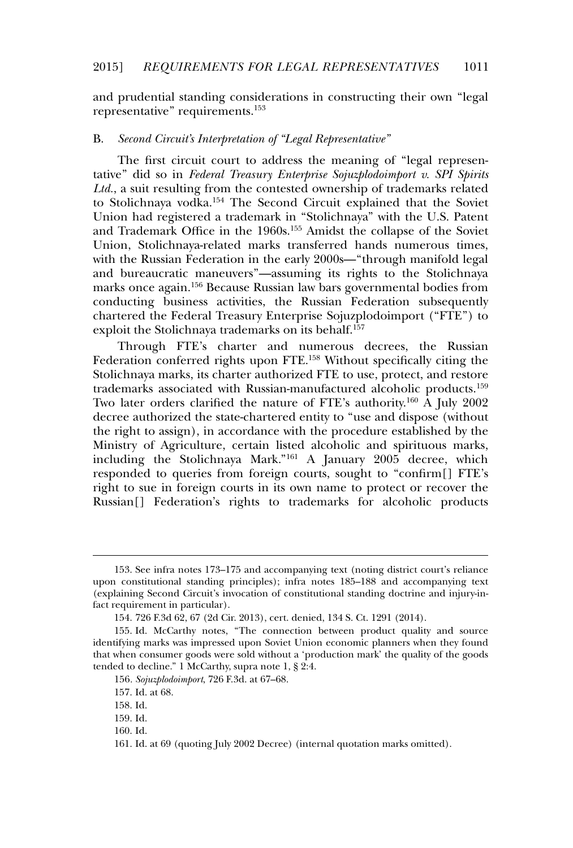and prudential standing considerations in constructing their own "legal representative" requirements.<sup>153</sup>

### B. *Second Circuit's Interpretation of "Legal Representative"*

The first circuit court to address the meaning of "legal representative" did so in *Federal Treasury Enterprise Sojuzplodoimport v. SPI Spirits Ltd.*, a suit resulting from the contested ownership of trademarks related to Stolichnaya vodka.<sup>154</sup> The Second Circuit explained that the Soviet Union had registered a trademark in "Stolichnaya" with the U.S. Patent and Trademark Office in the 1960s.<sup>155</sup> Amidst the collapse of the Soviet Union, Stolichnaya-related marks transferred hands numerous times, with the Russian Federation in the early 2000s—"through manifold legal and bureaucratic maneuvers"—assuming its rights to the Stolichnaya marks once again.<sup>156</sup> Because Russian law bars governmental bodies from conducting business activities, the Russian Federation subsequently chartered the Federal Treasury Enterprise Sojuzplodoimport ("FTE") to exploit the Stolichnaya trademarks on its behalf.<sup>157</sup>

Through FTE's charter and numerous decrees, the Russian Federation conferred rights upon FTE.<sup>158</sup> Without specifically citing the Stolichnaya marks, its charter authorized FTE to use, protect, and restore trademarks associated with Russian-manufactured alcoholic products.<sup>159</sup> Two later orders clarified the nature of FTE's authority.<sup>160</sup> A July 2002 decree authorized the state-chartered entity to "use and dispose (without the right to assign), in accordance with the procedure established by the Ministry of Agriculture, certain listed alcoholic and spirituous marks, including the Stolichnaya Mark." <sup>161</sup> A January 2005 decree, which responded to queries from foreign courts, sought to "confirm[] FTE's right to sue in foreign courts in its own name to protect or recover the Russian[] Federation's rights to trademarks for alcoholic products

<sup>153.</sup> See infra notes 173–175 and accompanying text (noting district court's reliance upon constitutional standing principles); infra notes 185–188 and accompanying text (explaining Second Circuit's invocation of constitutional standing doctrine and injury-infact requirement in particular).

<sup>154. 726</sup> F.3d 62, 67 (2d Cir. 2013), cert. denied, 134 S. Ct. 1291 (2014).

<sup>155.</sup> Id. McCarthy notes, "The connection between product quality and source identifying marks was impressed upon Soviet Union economic planners when they found that when consumer goods were sold without a 'production mark' the quality of the goods tended to decline." 1 McCarthy, supra note 1, § 2:4.

<sup>156</sup>*. Sojuzplodoimport*, 726 F.3d. at 67–68.

<sup>157.</sup> Id. at 68.

<sup>158.</sup> Id.

<sup>159.</sup> Id.

<sup>160.</sup> Id.

<sup>161.</sup> Id. at 69 (quoting July 2002 Decree) (internal quotation marks omitted).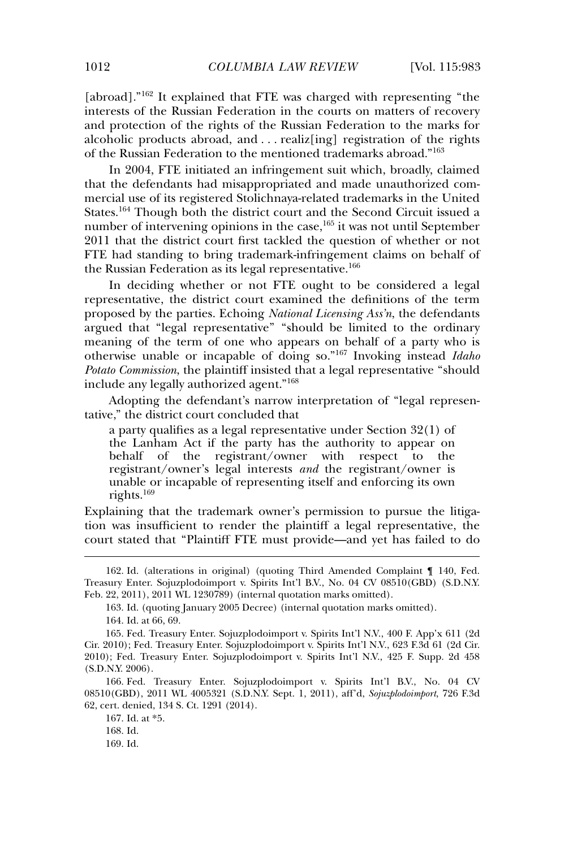[abroad]."<sup>162</sup> It explained that FTE was charged with representing "the interests of the Russian Federation in the courts on matters of recovery and protection of the rights of the Russian Federation to the marks for alcoholic products abroad, and . . . realiz[ing] registration of the rights of the Russian Federation to the mentioned trademarks abroad." 163

In 2004, FTE initiated an infringement suit which, broadly, claimed that the defendants had misappropriated and made unauthorized commercial use of its registered Stolichnaya-related trademarks in the United States.<sup>164</sup> Though both the district court and the Second Circuit issued a number of intervening opinions in the case,<sup>165</sup> it was not until September 2011 that the district court first tackled the question of whether or not FTE had standing to bring trademark-infringement claims on behalf of the Russian Federation as its legal representative.<sup>166</sup>

In deciding whether or not FTE ought to be considered a legal representative, the district court examined the definitions of the term proposed by the parties. Echoing *National Licensing Ass'n*, the defendants argued that "legal representative" "should be limited to the ordinary meaning of the term of one who appears on behalf of a party who is otherwise unable or incapable of doing so." <sup>167</sup> Invoking instead *Idaho Potato Commission*, the plaintiff insisted that a legal representative "should include any legally authorized agent." 168

Adopting the defendant's narrow interpretation of "legal representative," the district court concluded that

a party qualifies as a legal representative under Section 32(1) of the Lanham Act if the party has the authority to appear on behalf of the registrant/owner with respect to the registrant/owner's legal interests *and* the registrant/owner is unable or incapable of representing itself and enforcing its own rights. $169$ 

Explaining that the trademark owner's permission to pursue the litigation was insufficient to render the plaintiff a legal representative, the court stated that "Plaintiff FTE must provide—and yet has failed to do

166. Fed. Treasury Enter. Sojuzplodoimport v. Spirits Int'l B.V., No. 04 CV 08510(GBD), 2011 WL 4005321 (S.D.N.Y. Sept. 1, 2011), aff'd, *Sojuzplodoimport*, 726 F.3d 62, cert. denied, 134 S. Ct. 1291 (2014).

<sup>162.</sup> Id. (alterations in original) (quoting Third Amended Complaint ¶ 140, Fed. Treasury Enter. Sojuzplodoimport v. Spirits Int'l B.V., No. 04 CV 08510(GBD) (S.D.N.Y. Feb. 22, 2011), 2011 WL 1230789) (internal quotation marks omitted).

<sup>163.</sup> Id. (quoting January 2005 Decree) (internal quotation marks omitted).

<sup>164.</sup> Id. at 66, 69.

<sup>165.</sup> Fed. Treasury Enter. Sojuzplodoimport v. Spirits Int'l N.V., 400 F. App'x 611 (2d Cir. 2010); Fed. Treasury Enter. Sojuzplodoimport v. Spirits Int'l N.V., 623 F.3d 61 (2d Cir. 2010); Fed. Treasury Enter. Sojuzplodoimport v. Spirits Int'l N.V., 425 F. Supp. 2d 458 (S.D.N.Y. 2006).

<sup>167.</sup> Id. at \*5.

<sup>168.</sup> Id.

<sup>169.</sup> Id.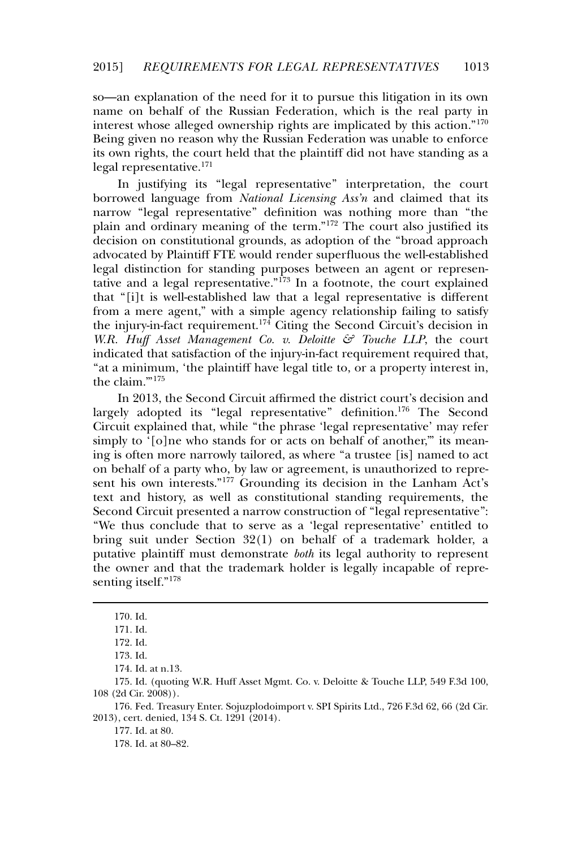so—an explanation of the need for it to pursue this litigation in its own name on behalf of the Russian Federation, which is the real party in interest whose alleged ownership rights are implicated by this action." 170 Being given no reason why the Russian Federation was unable to enforce its own rights, the court held that the plaintiff did not have standing as a legal representative.<sup>171</sup>

In justifying its "legal representative" interpretation, the court borrowed language from *National Licensing Ass'n* and claimed that its narrow "legal representative" definition was nothing more than "the plain and ordinary meaning of the term." <sup>172</sup> The court also justified its decision on constitutional grounds, as adoption of the "broad approach advocated by Plaintiff FTE would render superfluous the well-established legal distinction for standing purposes between an agent or representative and a legal representative." <sup>173</sup> In a footnote, the court explained that "[i]t is well-established law that a legal representative is different from a mere agent," with a simple agency relationship failing to satisfy the injury-in-fact requirement.<sup>174</sup> Citing the Second Circuit's decision in *W.R. Huff Asset Management Co. v. Deloitte & Touche LLP*, the court indicated that satisfaction of the injury-in-fact requirement required that, "at a minimum, 'the plaintiff have legal title to, or a property interest in, the claim.'" 175

In 2013, the Second Circuit affirmed the district court's decision and largely adopted its "legal representative" definition.<sup>176</sup> The Second Circuit explained that, while "the phrase 'legal representative' may refer simply to '[o]ne who stands for or acts on behalf of another," its meaning is often more narrowly tailored, as where "a trustee [is] named to act on behalf of a party who, by law or agreement, is unauthorized to represent his own interests." <sup>177</sup> Grounding its decision in the Lanham Act's text and history, as well as constitutional standing requirements, the Second Circuit presented a narrow construction of "legal representative": "We thus conclude that to serve as a 'legal representative' entitled to bring suit under Section 32(1) on behalf of a trademark holder, a putative plaintiff must demonstrate *both* its legal authority to represent the owner and that the trademark holder is legally incapable of representing itself." 178

176. Fed. Treasury Enter. Sojuzplodoimport v. SPI Spirits Ltd., 726 F.3d 62, 66 (2d Cir. 2013), cert. denied, 134 S. Ct. 1291 (2014).

177. Id. at 80.

<sup>170.</sup> Id.

<sup>171.</sup> Id.

<sup>172.</sup> Id.

<sup>173.</sup> Id.

<sup>174.</sup> Id. at n.13.

<sup>175.</sup> Id. (quoting W.R. Huff Asset Mgmt. Co. v. Deloitte & Touche LLP, 549 F.3d 100, 108 (2d Cir. 2008)).

<sup>178.</sup> Id. at 80–82.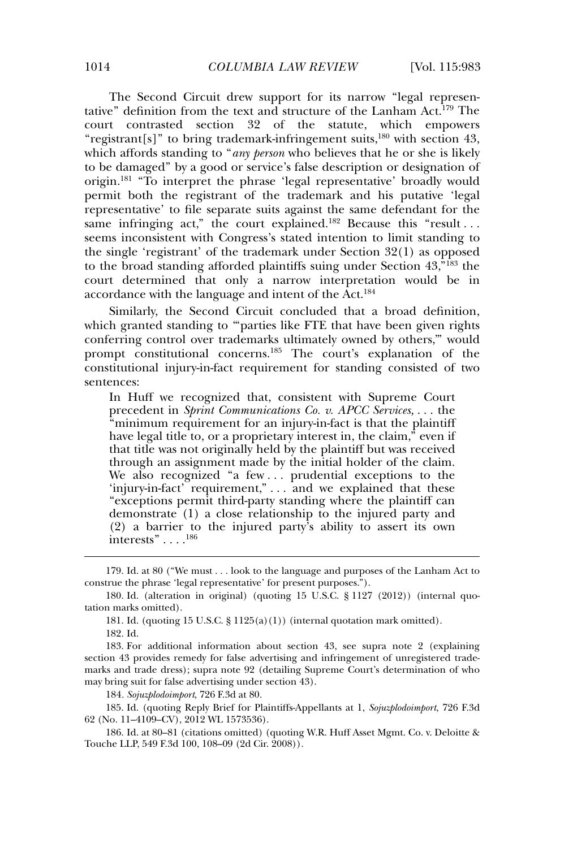The Second Circuit drew support for its narrow "legal representative" definition from the text and structure of the Lanham Act.<sup>179</sup> The court contrasted section 32 of the statute, which empowers "registrant[s]" to bring trademark-infringement suits,<sup>180</sup> with section 43, which affords standing to "*any person* who believes that he or she is likely to be damaged" by a good or service's false description or designation of origin.<sup>181</sup> "To interpret the phrase 'legal representative' broadly would permit both the registrant of the trademark and his putative 'legal representative' to file separate suits against the same defendant for the same infringing act," the court explained.<sup>182</sup> Because this "result ... seems inconsistent with Congress's stated intention to limit standing to the single 'registrant' of the trademark under Section 32(1) as opposed to the broad standing afforded plaintiffs suing under Section 43,"<sup>183</sup> the court determined that only a narrow interpretation would be in accordance with the language and intent of the Act.<sup>184</sup>

Similarly, the Second Circuit concluded that a broad definition, which granted standing to "parties like FTE that have been given rights conferring control over trademarks ultimately owned by others,'" would prompt constitutional concerns.<sup>185</sup> The court's explanation of the constitutional injury-in-fact requirement for standing consisted of two sentences:

In Huff we recognized that, consistent with Supreme Court precedent in *Sprint Communications Co. v. APCC Services,* . . . the "minimum requirement for an injury-in-fact is that the plaintiff have legal title to, or a proprietary interest in, the claim," even if that title was not originally held by the plaintiff but was received through an assignment made by the initial holder of the claim. We also recognized "a few . . . prudential exceptions to the 'injury-in-fact' requirement," . . . and we explained that these "exceptions permit third-party standing where the plaintiff can demonstrate (1) a close relationship to the injured party and (2) a barrier to the injured party's ability to assert its own interests"  $\ldots$ .<sup>186</sup>

182. Id.

184*. Sojuzplodoimport*, 726 F.3d at 80.

185. Id. (quoting Reply Brief for Plaintiffs-Appellants at 1, *Sojuzplodoimport*, 726 F.3d 62 (No. 11–4109–CV), 2012 WL 1573536).

186. Id. at 80–81 (citations omitted) (quoting W.R. Huff Asset Mgmt. Co. v. Deloitte & Touche LLP, 549 F.3d 100, 108–09 (2d Cir. 2008)).

<sup>179.</sup> Id. at 80 ("We must . . . look to the language and purposes of the Lanham Act to construe the phrase 'legal representative' for present purposes.").

<sup>180.</sup> Id. (alteration in original) (quoting 15 U.S.C. § 1127 (2012)) (internal quotation marks omitted).

<sup>181.</sup> Id. (quoting 15 U.S.C. § 1125(a)(1)) (internal quotation mark omitted).

<sup>183.</sup> For additional information about section 43, see supra note 2 (explaining section 43 provides remedy for false advertising and infringement of unregistered trademarks and trade dress); supra note 92 (detailing Supreme Court's determination of who may bring suit for false advertising under section 43).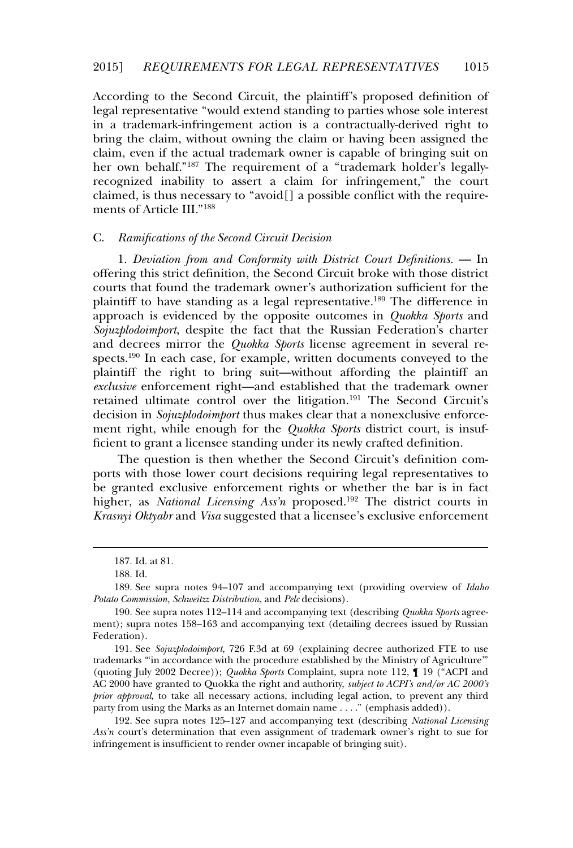According to the Second Circuit, the plaintiff's proposed definition of legal representative "would extend standing to parties whose sole interest in a trademark-infringement action is a contractually-derived right to bring the claim, without owning the claim or having been assigned the claim, even if the actual trademark owner is capable of bringing suit on her own behalf."<sup>187</sup> The requirement of a "trademark holder's legallyrecognized inability to assert a claim for infringement," the court claimed, is thus necessary to "avoid[] a possible conflict with the requirements of Article III." 188

#### C. *Ramifications of the Second Circuit Decision*

1. *Deviation from and Conformity with District Court Definitions.* — In offering this strict definition, the Second Circuit broke with those district courts that found the trademark owner's authorization sufficient for the plaintiff to have standing as a legal representative.<sup>189</sup> The difference in approach is evidenced by the opposite outcomes in *Quokka Sports* and *Sojuzplodoimport*, despite the fact that the Russian Federation's charter and decrees mirror the *Quokka Sports* license agreement in several respects.<sup>190</sup> In each case, for example, written documents conveyed to the plaintiff the right to bring suit—without affording the plaintiff an *exclusive* enforcement right—and established that the trademark owner retained ultimate control over the litigation.<sup>191</sup> The Second Circuit's decision in *Sojuzplodoimport* thus makes clear that a nonexclusive enforcement right, while enough for the *Quokka Sports* district court, is insufficient to grant a licensee standing under its newly crafted definition.

The question is then whether the Second Circuit's definition comports with those lower court decisions requiring legal representatives to be granted exclusive enforcement rights or whether the bar is in fact higher, as *National Licensing Ass'n* proposed.<sup>192</sup> The district courts in *Krasnyi Oktyabr* and *Visa* suggested that a licensee's exclusive enforcement

191. See *Sojuzplodoimport*, 726 F.3d at 69 (explaining decree authorized FTE to use trademarks "'in accordance with the procedure established by the Ministry of Agriculture'" (quoting July 2002 Decree)); *Quokka Sports* Complaint, supra note 112, ¶ 19 ("ACPI and AC 2000 have granted to Quokka the right and authority, *subject to ACPI's and/or AC 2000's prior approval*, to take all necessary actions, including legal action, to prevent any third party from using the Marks as an Internet domain name . . . ." (emphasis added)).

192. See supra notes 125–127 and accompanying text (describing *National Licensing Ass'n* court's determination that even assignment of trademark owner's right to sue for infringement is insufficient to render owner incapable of bringing suit).

<sup>187.</sup> Id. at 81.

<sup>188.</sup> Id.

<sup>189.</sup> See supra notes 94–107 and accompanying text (providing overview of *Idaho Potato Commission*, *Schweitzz Distribution*, and *Pelc* decisions).

<sup>190.</sup> See supra notes 112–114 and accompanying text (describing *Quokka Sports* agreement); supra notes 158–163 and accompanying text (detailing decrees issued by Russian Federation).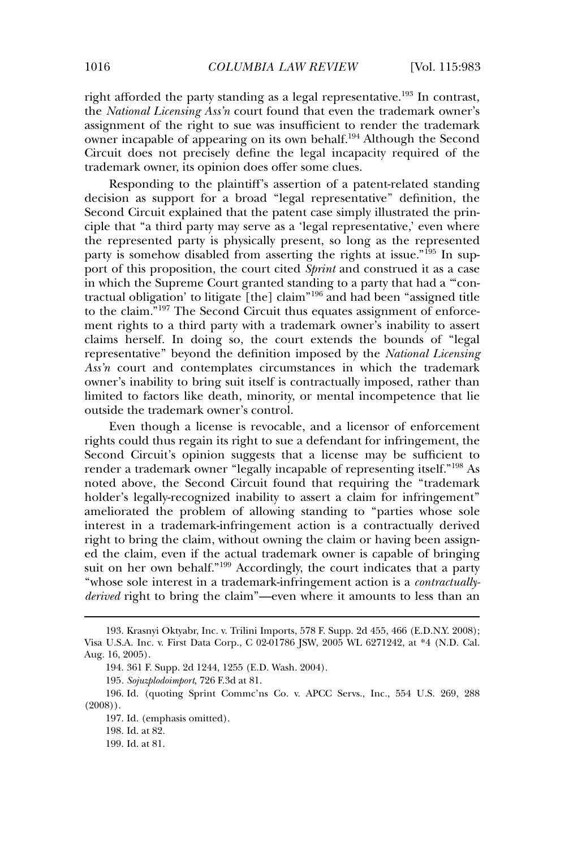right afforded the party standing as a legal representative.<sup>193</sup> In contrast, the *National Licensing Ass'n* court found that even the trademark owner's assignment of the right to sue was insufficient to render the trademark owner incapable of appearing on its own behalf.<sup>194</sup> Although the Second Circuit does not precisely define the legal incapacity required of the trademark owner, its opinion does offer some clues.

Responding to the plaintiff's assertion of a patent-related standing decision as support for a broad "legal representative" definition, the Second Circuit explained that the patent case simply illustrated the principle that "a third party may serve as a 'legal representative,' even where the represented party is physically present, so long as the represented party is somehow disabled from asserting the rights at issue." <sup>195</sup> In support of this proposition, the court cited *Sprint* and construed it as a case in which the Supreme Court granted standing to a party that had a "'contractual obligation' to litigate [the] claim" <sup>196</sup> and had been "assigned title to the claim." <sup>197</sup> The Second Circuit thus equates assignment of enforcement rights to a third party with a trademark owner's inability to assert claims herself. In doing so, the court extends the bounds of "legal representative" beyond the definition imposed by the *National Licensing Ass'n* court and contemplates circumstances in which the trademark owner's inability to bring suit itself is contractually imposed, rather than limited to factors like death, minority, or mental incompetence that lie outside the trademark owner's control.

Even though a license is revocable, and a licensor of enforcement rights could thus regain its right to sue a defendant for infringement, the Second Circuit's opinion suggests that a license may be sufficient to render a trademark owner "legally incapable of representing itself." <sup>198</sup> As noted above, the Second Circuit found that requiring the "trademark holder's legally-recognized inability to assert a claim for infringement" ameliorated the problem of allowing standing to "parties whose sole interest in a trademark-infringement action is a contractually derived right to bring the claim, without owning the claim or having been assigned the claim, even if the actual trademark owner is capable of bringing suit on her own behalf." <sup>199</sup> Accordingly, the court indicates that a party "whose sole interest in a trademark-infringement action is a *contractuallyderived* right to bring the claim"—even where it amounts to less than an

<sup>193.</sup> Krasnyi Oktyabr, Inc. v. Trilini Imports, 578 F. Supp. 2d 455, 466 (E.D.N.Y. 2008); Visa U.S.A. Inc. v. First Data Corp., C 02-01786 JSW, 2005 WL 6271242, at \*4 (N.D. Cal. Aug. 16, 2005).

<sup>194. 361</sup> F. Supp. 2d 1244, 1255 (E.D. Wash. 2004).

<sup>195</sup>*. Sojuzplodoimport*, 726 F.3d at 81.

<sup>196.</sup> Id. (quoting Sprint Commc'ns Co. v. APCC Servs., Inc., 554 U.S. 269, 288 (2008)).

<sup>197.</sup> Id. (emphasis omitted).

<sup>198.</sup> Id. at 82.

<sup>199.</sup> Id. at 81.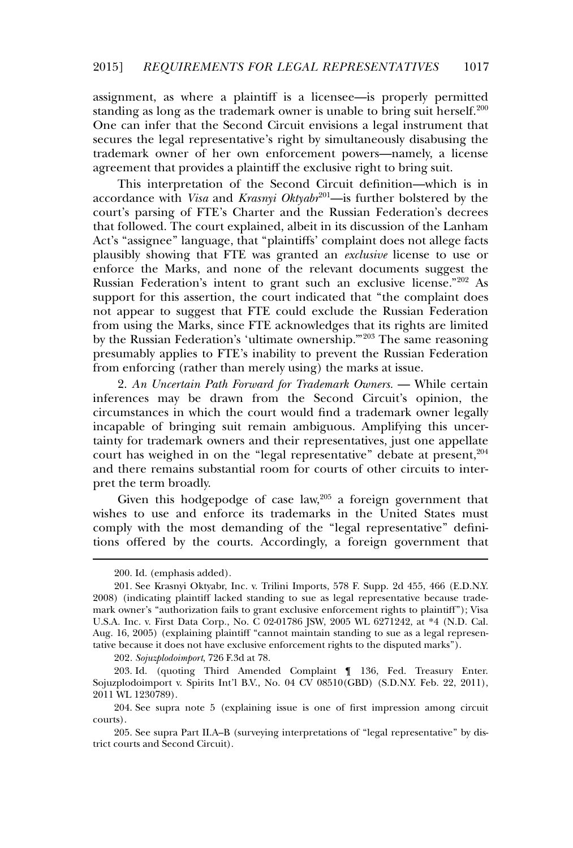assignment, as where a plaintiff is a licensee—is properly permitted standing as long as the trademark owner is unable to bring suit herself.<sup>200</sup> One can infer that the Second Circuit envisions a legal instrument that secures the legal representative's right by simultaneously disabusing the trademark owner of her own enforcement powers—namely, a license agreement that provides a plaintiff the exclusive right to bring suit.

This interpretation of the Second Circuit definition—which is in accordance with *Visa* and *Krasnyi Oktyabr*<sup>201</sup>—is further bolstered by the court's parsing of FTE's Charter and the Russian Federation's decrees that followed. The court explained, albeit in its discussion of the Lanham Act's "assignee" language, that "plaintiffs' complaint does not allege facts plausibly showing that FTE was granted an *exclusive* license to use or enforce the Marks, and none of the relevant documents suggest the Russian Federation's intent to grant such an exclusive license." <sup>202</sup> As support for this assertion, the court indicated that "the complaint does not appear to suggest that FTE could exclude the Russian Federation from using the Marks, since FTE acknowledges that its rights are limited by the Russian Federation's 'ultimate ownership.'"<sup>203</sup> The same reasoning presumably applies to FTE's inability to prevent the Russian Federation from enforcing (rather than merely using) the marks at issue.

2. *An Uncertain Path Forward for Trademark Owners.* — While certain inferences may be drawn from the Second Circuit's opinion, the circumstances in which the court would find a trademark owner legally incapable of bringing suit remain ambiguous. Amplifying this uncertainty for trademark owners and their representatives, just one appellate court has weighed in on the "legal representative" debate at present,  $204$ and there remains substantial room for courts of other circuits to interpret the term broadly.

Given this hodgepodge of case law,<sup>205</sup> a foreign government that wishes to use and enforce its trademarks in the United States must comply with the most demanding of the "legal representative" definitions offered by the courts. Accordingly, a foreign government that

<sup>200.</sup> Id. (emphasis added).

<sup>201.</sup> See Krasnyi Oktyabr, Inc. v. Trilini Imports, 578 F. Supp. 2d 455, 466 (E.D.N.Y. 2008) (indicating plaintiff lacked standing to sue as legal representative because trademark owner's "authorization fails to grant exclusive enforcement rights to plaintiff"); Visa U.S.A. Inc. v. First Data Corp., No. C 02-01786 JSW, 2005 WL 6271242, at \*4 (N.D. Cal. Aug. 16, 2005) (explaining plaintiff "cannot maintain standing to sue as a legal representative because it does not have exclusive enforcement rights to the disputed marks").

<sup>202</sup>*. Sojuzplodoimport*, 726 F.3d at 78.

<sup>203.</sup> Id. (quoting Third Amended Complaint ¶ 136, Fed. Treasury Enter. Sojuzplodoimport v. Spirits Int'l B.V., No. 04 CV 08510(GBD) (S.D.N.Y. Feb. 22, 2011), 2011 WL 1230789).

<sup>204.</sup> See supra note 5 (explaining issue is one of first impression among circuit courts).

<sup>205.</sup> See supra Part II.A–B (surveying interpretations of "legal representative" by district courts and Second Circuit).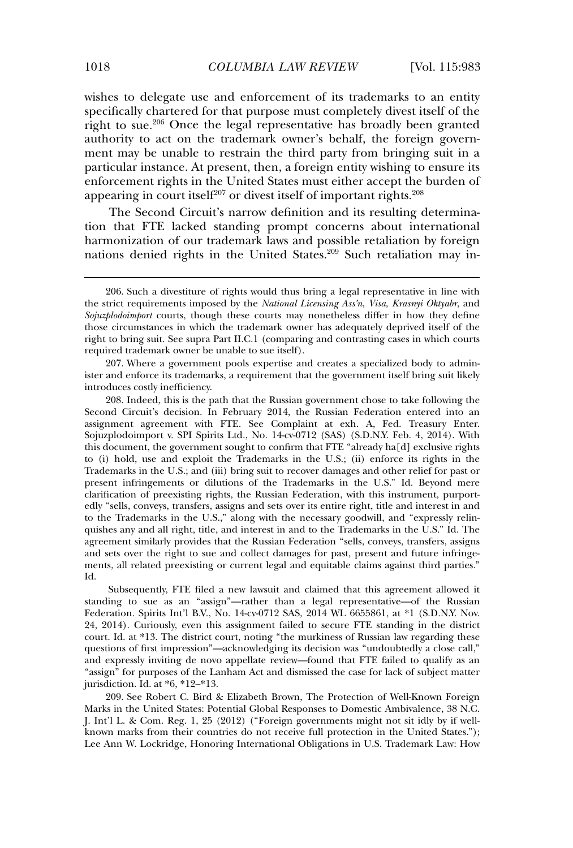wishes to delegate use and enforcement of its trademarks to an entity specifically chartered for that purpose must completely divest itself of the right to sue.<sup>206</sup> Once the legal representative has broadly been granted authority to act on the trademark owner's behalf, the foreign government may be unable to restrain the third party from bringing suit in a particular instance. At present, then, a foreign entity wishing to ensure its enforcement rights in the United States must either accept the burden of appearing in court itself<sup>207</sup> or divest itself of important rights.<sup>208</sup>

The Second Circuit's narrow definition and its resulting determination that FTE lacked standing prompt concerns about international harmonization of our trademark laws and possible retaliation by foreign nations denied rights in the United States.<sup>209</sup> Such retaliation may in-

207. Where a government pools expertise and creates a specialized body to administer and enforce its trademarks, a requirement that the government itself bring suit likely introduces costly inefficiency.

208. Indeed, this is the path that the Russian government chose to take following the Second Circuit's decision. In February 2014, the Russian Federation entered into an assignment agreement with FTE. See Complaint at exh. A, Fed. Treasury Enter. Sojuzplodoimport v. SPI Spirits Ltd., No. 14-cv-0712 (SAS) (S.D.N.Y. Feb. 4, 2014). With this document, the government sought to confirm that FTE "already ha[d] exclusive rights to (i) hold, use and exploit the Trademarks in the U.S.; (ii) enforce its rights in the Trademarks in the U.S.; and (iii) bring suit to recover damages and other relief for past or present infringements or dilutions of the Trademarks in the U.S." Id. Beyond mere clarification of preexisting rights, the Russian Federation, with this instrument, purportedly "sells, conveys, transfers, assigns and sets over its entire right, title and interest in and to the Trademarks in the U.S.," along with the necessary goodwill, and "expressly relinquishes any and all right, title, and interest in and to the Trademarks in the U.S." Id. The agreement similarly provides that the Russian Federation "sells, conveys, transfers, assigns and sets over the right to sue and collect damages for past, present and future infringements, all related preexisting or current legal and equitable claims against third parties." Id.

Subsequently, FTE filed a new lawsuit and claimed that this agreement allowed it standing to sue as an "assign"—rather than a legal representative—of the Russian Federation. Spirits Int'l B.V., No. 14-cv-0712 SAS, 2014 WL 6655861, at \*1 (S.D.N.Y. Nov. 24, 2014). Curiously, even this assignment failed to secure FTE standing in the district court. Id. at \*13. The district court, noting "the murkiness of Russian law regarding these questions of first impression"—acknowledging its decision was "undoubtedly a close call," and expressly inviting de novo appellate review—found that FTE failed to qualify as an "assign" for purposes of the Lanham Act and dismissed the case for lack of subject matter jurisdiction. Id. at \*6, \*12–\*13.

209. See Robert C. Bird & Elizabeth Brown, The Protection of Well-Known Foreign Marks in the United States: Potential Global Responses to Domestic Ambivalence, 38 N.C. J. Int'l L. & Com. Reg. 1, 25 (2012) ("Foreign governments might not sit idly by if wellknown marks from their countries do not receive full protection in the United States."); Lee Ann W. Lockridge, Honoring International Obligations in U.S. Trademark Law: How

<sup>206.</sup> Such a divestiture of rights would thus bring a legal representative in line with the strict requirements imposed by the *National Licensing Ass'n*, *Visa*, *Krasnyi Oktyabr*, and *Sojuzplodoimport* courts, though these courts may nonetheless differ in how they define those circumstances in which the trademark owner has adequately deprived itself of the right to bring suit. See supra Part II.C.1 (comparing and contrasting cases in which courts required trademark owner be unable to sue itself).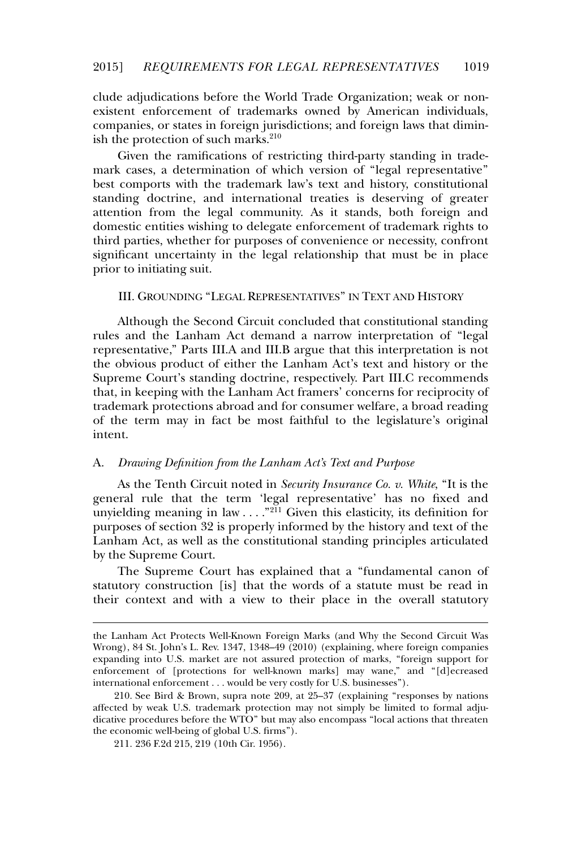clude adjudications before the World Trade Organization; weak or nonexistent enforcement of trademarks owned by American individuals, companies, or states in foreign jurisdictions; and foreign laws that diminish the protection of such marks. $210$ 

Given the ramifications of restricting third-party standing in trademark cases, a determination of which version of "legal representative" best comports with the trademark law's text and history, constitutional standing doctrine, and international treaties is deserving of greater attention from the legal community. As it stands, both foreign and domestic entities wishing to delegate enforcement of trademark rights to third parties, whether for purposes of convenience or necessity, confront significant uncertainty in the legal relationship that must be in place prior to initiating suit.

### III. GROUNDING "LEGAL REPRESENTATIVES" IN TEXT AND HISTORY

Although the Second Circuit concluded that constitutional standing rules and the Lanham Act demand a narrow interpretation of "legal representative," Parts III.A and III.B argue that this interpretation is not the obvious product of either the Lanham Act's text and history or the Supreme Court's standing doctrine, respectively. Part III.C recommends that, in keeping with the Lanham Act framers' concerns for reciprocity of trademark protections abroad and for consumer welfare, a broad reading of the term may in fact be most faithful to the legislature's original intent.

#### A. *Drawing Definition from the Lanham Act's Text and Purpose*

As the Tenth Circuit noted in *Security Insurance Co. v. White*, "It is the general rule that the term 'legal representative' has no fixed and unyielding meaning in law . . . ." <sup>211</sup> Given this elasticity, its definition for purposes of section 32 is properly informed by the history and text of the Lanham Act, as well as the constitutional standing principles articulated by the Supreme Court.

The Supreme Court has explained that a "fundamental canon of statutory construction [is] that the words of a statute must be read in their context and with a view to their place in the overall statutory

the Lanham Act Protects Well-Known Foreign Marks (and Why the Second Circuit Was Wrong), 84 St. John's L. Rev. 1347, 1348–49 (2010) (explaining, where foreign companies expanding into U.S. market are not assured protection of marks, "foreign support for enforcement of [protections for well-known marks] may wane," and "[d]ecreased international enforcement . . . would be very costly for U.S. businesses").

<sup>210.</sup> See Bird & Brown, supra note 209, at 25–37 (explaining "responses by nations affected by weak U.S. trademark protection may not simply be limited to formal adjudicative procedures before the WTO" but may also encompass "local actions that threaten the economic well-being of global U.S. firms").

<sup>211. 236</sup> F.2d 215, 219 (10th Cir. 1956).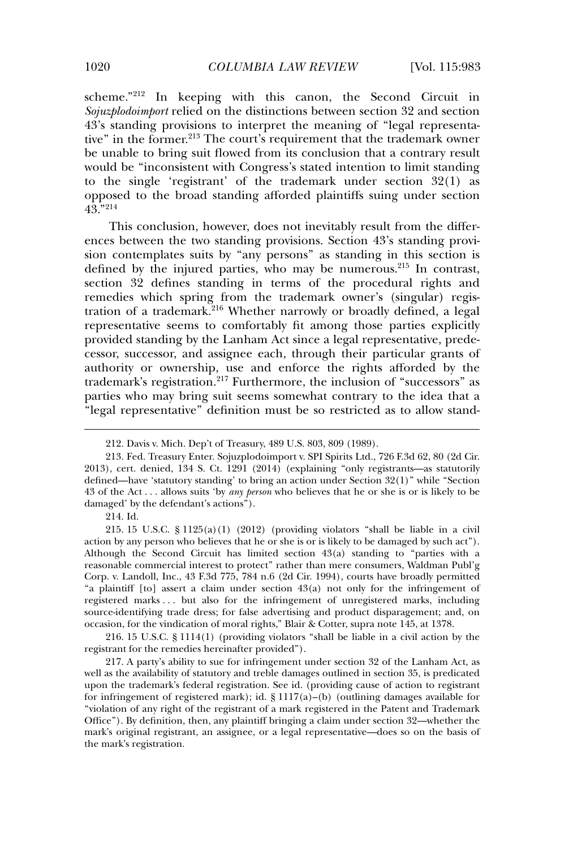scheme." <sup>212</sup> In keeping with this canon, the Second Circuit in *Sojuzplodoimport* relied on the distinctions between section 32 and section 43's standing provisions to interpret the meaning of "legal representative" in the former.<sup>213</sup> The court's requirement that the trademark owner be unable to bring suit flowed from its conclusion that a contrary result would be "inconsistent with Congress's stated intention to limit standing to the single 'registrant' of the trademark under section 32(1) as opposed to the broad standing afforded plaintiffs suing under section 43." 214

This conclusion, however, does not inevitably result from the differences between the two standing provisions. Section 43's standing provision contemplates suits by "any persons" as standing in this section is defined by the injured parties, who may be numerous.<sup>215</sup> In contrast, section 32 defines standing in terms of the procedural rights and remedies which spring from the trademark owner's (singular) registration of a trademark.<sup>216</sup> Whether narrowly or broadly defined, a legal representative seems to comfortably fit among those parties explicitly provided standing by the Lanham Act since a legal representative, predecessor, successor, and assignee each, through their particular grants of authority or ownership, use and enforce the rights afforded by the trademark's registration.<sup>217</sup> Furthermore, the inclusion of "successors" as parties who may bring suit seems somewhat contrary to the idea that a "legal representative" definition must be so restricted as to allow stand-

214. Id.

216. 15 U.S.C. § 1114(1) (providing violators "shall be liable in a civil action by the registrant for the remedies hereinafter provided").

217. A party's ability to sue for infringement under section 32 of the Lanham Act, as well as the availability of statutory and treble damages outlined in section 35, is predicated upon the trademark's federal registration. See id. (providing cause of action to registrant for infringement of registered mark); id.  $\S 1117(a)–(b)$  (outlining damages available for "violation of any right of the registrant of a mark registered in the Patent and Trademark Office"). By definition, then, any plaintiff bringing a claim under section 32—whether the mark's original registrant, an assignee, or a legal representative—does so on the basis of the mark's registration.

<sup>212.</sup> Davis v. Mich. Dep't of Treasury, 489 U.S. 803, 809 (1989).

<sup>213.</sup> Fed. Treasury Enter. Sojuzplodoimport v. SPI Spirits Ltd., 726 F.3d 62, 80 (2d Cir. 2013), cert. denied, 134 S. Ct. 1291 (2014) (explaining "only registrants—as statutorily defined—have 'statutory standing' to bring an action under Section 32(1)" while "Section 43 of the Act . . . allows suits 'by *any person* who believes that he or she is or is likely to be damaged' by the defendant's actions").

<sup>215. 15</sup> U.S.C.  $\S 1125(a)(1)$  (2012) (providing violators "shall be liable in a civil action by any person who believes that he or she is or is likely to be damaged by such act"). Although the Second Circuit has limited section 43(a) standing to "parties with a reasonable commercial interest to protect" rather than mere consumers, Waldman Publ'g Corp. v. Landoll, Inc., 43 F.3d 775, 784 n.6 (2d Cir. 1994), courts have broadly permitted "a plaintiff [to] assert a claim under section 43(a) not only for the infringement of registered marks . . . but also for the infringement of unregistered marks, including source-identifying trade dress; for false advertising and product disparagement; and, on occasion, for the vindication of moral rights," Blair & Cotter, supra note 145, at 1378.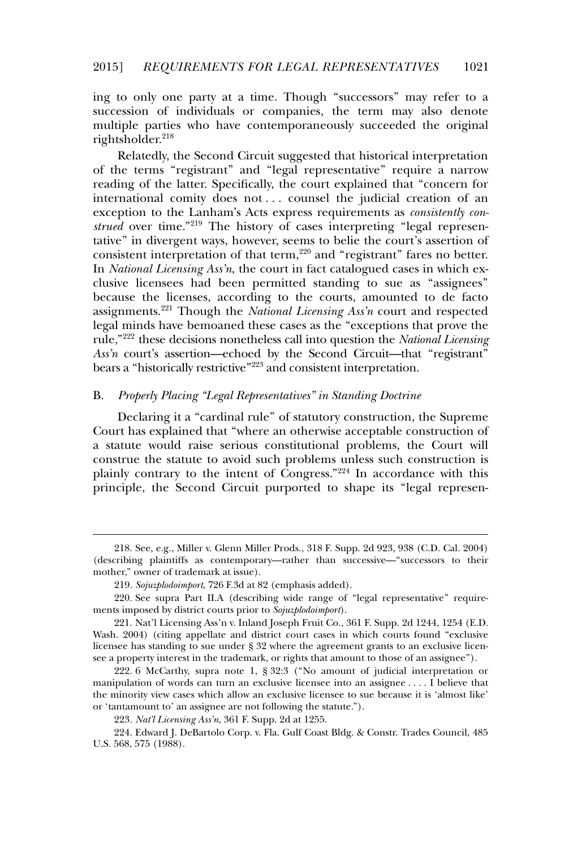ing to only one party at a time. Though "successors" may refer to a succession of individuals or companies, the term may also denote multiple parties who have contemporaneously succeeded the original rightsholder.<sup>218</sup>

Relatedly, the Second Circuit suggested that historical interpretation of the terms "registrant" and "legal representative" require a narrow reading of the latter. Specifically, the court explained that "concern for international comity does not . . . counsel the judicial creation of an exception to the Lanham's Acts express requirements as *consistently con*strued over time."<sup>219</sup> The history of cases interpreting "legal representative" in divergent ways, however, seems to belie the court's assertion of consistent interpretation of that term,<sup>220</sup> and "registrant" fares no better. In *National Licensing Ass'n*, the court in fact catalogued cases in which exclusive licensees had been permitted standing to sue as "assignees" because the licenses, according to the courts, amounted to de facto assignments.<sup>221</sup> Though the *National Licensing Ass'n* court and respected legal minds have bemoaned these cases as the "exceptions that prove the rule," <sup>222</sup> these decisions nonetheless call into question the *National Licensing Ass'n* court's assertion—echoed by the Second Circuit—that "registrant" bears a "historically restrictive"<sup>223</sup> and consistent interpretation.

## B. *Properly Placing "Legal Representatives" in Standing Doctrine*

Declaring it a "cardinal rule" of statutory construction, the Supreme Court has explained that "where an otherwise acceptable construction of a statute would raise serious constitutional problems, the Court will construe the statute to avoid such problems unless such construction is plainly contrary to the intent of Congress." <sup>224</sup> In accordance with this principle, the Second Circuit purported to shape its "legal represen-

<sup>218.</sup> See, e.g., Miller v. Glenn Miller Prods., 318 F. Supp. 2d 923, 938 (C.D. Cal. 2004) (describing plaintiffs as contemporary—rather than successive—"successors to their mother," owner of trademark at issue).

<sup>219</sup>*. Sojuzplodoimport*, 726 F.3d at 82 (emphasis added).

<sup>220.</sup> See supra Part II.A (describing wide range of "legal representative" requirements imposed by district courts prior to *Sojuzplodoimport*).

<sup>221.</sup> Nat'l Licensing Ass'n v. Inland Joseph Fruit Co., 361 F. Supp. 2d 1244, 1254 (E.D. Wash. 2004) (citing appellate and district court cases in which courts found "exclusive licensee has standing to sue under § 32 where the agreement grants to an exclusive licensee a property interest in the trademark, or rights that amount to those of an assignee").

<sup>222. 6</sup> McCarthy, supra note 1, § 32:3 ("No amount of judicial interpretation or manipulation of words can turn an exclusive licensee into an assignee . . . . I believe that the minority view cases which allow an exclusive licensee to sue because it is 'almost like' or 'tantamount to' an assignee are not following the statute.").

<sup>223</sup>*. Nat'l Licensing Ass'n*, 361 F. Supp. 2d at 1255.

<sup>224.</sup> Edward J. DeBartolo Corp. v. Fla. Gulf Coast Bldg. & Constr. Trades Council, 485 U.S. 568, 575 (1988).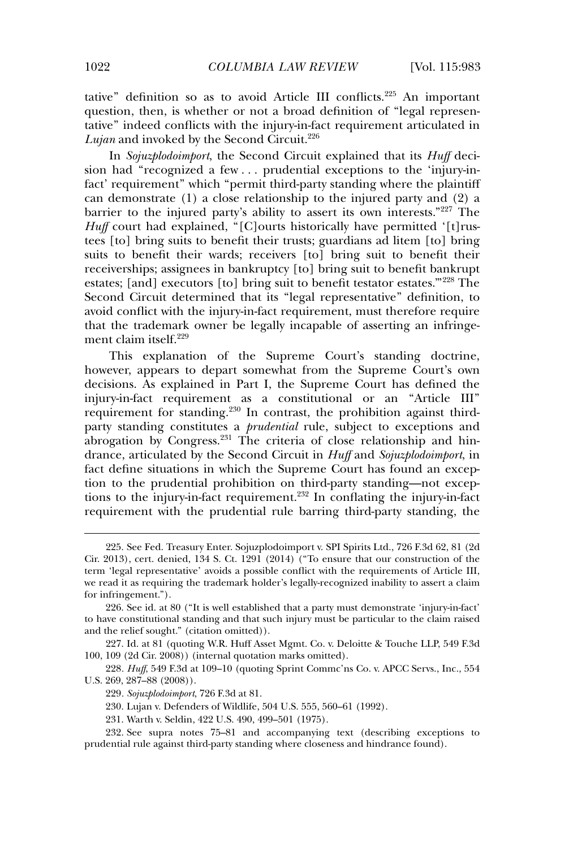tative" definition so as to avoid Article III conflicts.<sup>225</sup> An important question, then, is whether or not a broad definition of "legal representative" indeed conflicts with the injury-in-fact requirement articulated in Lujan and invoked by the Second Circuit.<sup>226</sup>

In *Sojuzplodoimport*, the Second Circuit explained that its *Huff* decision had "recognized a few . . . prudential exceptions to the 'injury-infact' requirement" which "permit third-party standing where the plaintiff can demonstrate (1) a close relationship to the injured party and (2) a barrier to the injured party's ability to assert its own interests." <sup>227</sup> The *Huff* court had explained, "[C]ourts historically have permitted '[t]rustees [to] bring suits to benefit their trusts; guardians ad litem [to] bring suits to benefit their wards; receivers [to] bring suit to benefit their receiverships; assignees in bankruptcy [to] bring suit to benefit bankrupt estates; [and] executors [to] bring suit to benefit testator estates.'" <sup>228</sup> The Second Circuit determined that its "legal representative" definition, to avoid conflict with the injury-in-fact requirement, must therefore require that the trademark owner be legally incapable of asserting an infringement claim itself.<sup>229</sup>

This explanation of the Supreme Court's standing doctrine, however, appears to depart somewhat from the Supreme Court's own decisions. As explained in Part I, the Supreme Court has defined the injury-in-fact requirement as a constitutional or an "Article III" requirement for standing.<sup>230</sup> In contrast, the prohibition against thirdparty standing constitutes a *prudential* rule, subject to exceptions and abrogation by Congress. $231$  The criteria of close relationship and hindrance, articulated by the Second Circuit in *Huff* and *Sojuzplodoimport*, in fact define situations in which the Supreme Court has found an exception to the prudential prohibition on third-party standing—not exceptions to the injury-in-fact requirement.<sup>232</sup> In conflating the injury-in-fact requirement with the prudential rule barring third-party standing, the

- 229*. Sojuzplodoimport*, 726 F.3d at 81.
- 230. Lujan v. Defenders of Wildlife, 504 U.S. 555, 560–61 (1992).
- 231. Warth v. Seldin, 422 U.S. 490, 499–501 (1975).

232. See supra notes 75–81 and accompanying text (describing exceptions to prudential rule against third-party standing where closeness and hindrance found).

<sup>225.</sup> See Fed. Treasury Enter. Sojuzplodoimport v. SPI Spirits Ltd., 726 F.3d 62, 81 (2d Cir. 2013), cert. denied, 134 S. Ct. 1291 (2014) ("To ensure that our construction of the term 'legal representative' avoids a possible conflict with the requirements of Article III, we read it as requiring the trademark holder's legally-recognized inability to assert a claim for infringement.").

<sup>226.</sup> See id. at 80 ("It is well established that a party must demonstrate 'injury-in-fact' to have constitutional standing and that such injury must be particular to the claim raised and the relief sought." (citation omitted)).

<sup>227.</sup> Id. at 81 (quoting W.R. Huff Asset Mgmt. Co. v. Deloitte & Touche LLP, 549 F.3d 100, 109 (2d Cir. 2008)) (internal quotation marks omitted).

<sup>228</sup>*. Huff*, 549 F.3d at 109–10 (quoting Sprint Commc'ns Co. v. APCC Servs., Inc., 554 U.S. 269, 287–88 (2008)).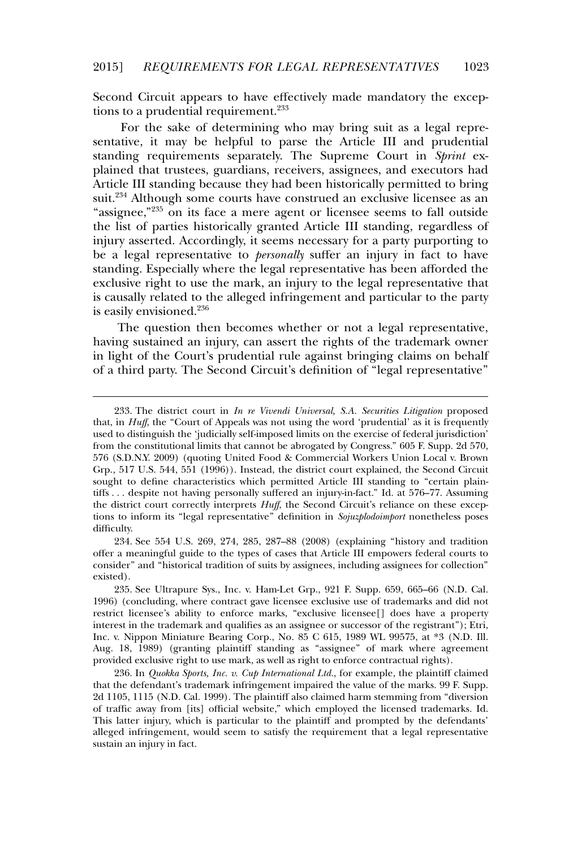Second Circuit appears to have effectively made mandatory the exceptions to a prudential requirement.<sup>233</sup>

For the sake of determining who may bring suit as a legal representative, it may be helpful to parse the Article III and prudential standing requirements separately. The Supreme Court in *Sprint* explained that trustees, guardians, receivers, assignees, and executors had Article III standing because they had been historically permitted to bring suit.<sup>234</sup> Although some courts have construed an exclusive licensee as an "assignee," <sup>235</sup> on its face a mere agent or licensee seems to fall outside the list of parties historically granted Article III standing, regardless of injury asserted. Accordingly, it seems necessary for a party purporting to be a legal representative to *personally* suffer an injury in fact to have standing. Especially where the legal representative has been afforded the exclusive right to use the mark, an injury to the legal representative that is causally related to the alleged infringement and particular to the party is easily envisioned.<sup>236</sup>

The question then becomes whether or not a legal representative, having sustained an injury, can assert the rights of the trademark owner in light of the Court's prudential rule against bringing claims on behalf of a third party. The Second Circuit's definition of "legal representative"

234. See 554 U.S. 269, 274, 285, 287–88 (2008) (explaining "history and tradition offer a meaningful guide to the types of cases that Article III empowers federal courts to consider" and "historical tradition of suits by assignees, including assignees for collection" existed).

<sup>233.</sup> The district court in *In re Vivendi Universal, S.A. Securities Litigation* proposed that, in *Huff*, the "Court of Appeals was not using the word 'prudential' as it is frequently used to distinguish the 'judicially self-imposed limits on the exercise of federal jurisdiction' from the constitutional limits that cannot be abrogated by Congress." 605 F. Supp. 2d 570, 576 (S.D.N.Y. 2009) (quoting United Food & Commercial Workers Union Local v. Brown Grp.*,* 517 U.S. 544, 551 (1996)). Instead, the district court explained, the Second Circuit sought to define characteristics which permitted Article III standing to "certain plaintiffs . . . despite not having personally suffered an injury-in-fact." Id. at 576–77. Assuming the district court correctly interprets *Huff*, the Second Circuit's reliance on these exceptions to inform its "legal representative" definition in *Sojuzplodoimport* nonetheless poses difficulty.

<sup>235.</sup> See Ultrapure Sys., Inc. v. Ham-Let Grp., 921 F. Supp. 659, 665–66 (N.D. Cal. 1996) (concluding, where contract gave licensee exclusive use of trademarks and did not restrict licensee's ability to enforce marks, "exclusive licensee[] does have a property interest in the trademark and qualifies as an assignee or successor of the registrant"); Etri, Inc. v. Nippon Miniature Bearing Corp., No. 85 C 615, 1989 WL 99575, at \*3 (N.D. Ill. Aug. 18, 1989) (granting plaintiff standing as "assignee" of mark where agreement provided exclusive right to use mark, as well as right to enforce contractual rights).

<sup>236.</sup> In *Quokka Sports, Inc. v. Cup International Ltd.*, for example, the plaintiff claimed that the defendant's trademark infringement impaired the value of the marks. 99 F. Supp. 2d 1105, 1115 (N.D. Cal. 1999). The plaintiff also claimed harm stemming from "diversion of traffic away from [its] official website," which employed the licensed trademarks. Id. This latter injury, which is particular to the plaintiff and prompted by the defendants' alleged infringement, would seem to satisfy the requirement that a legal representative sustain an injury in fact.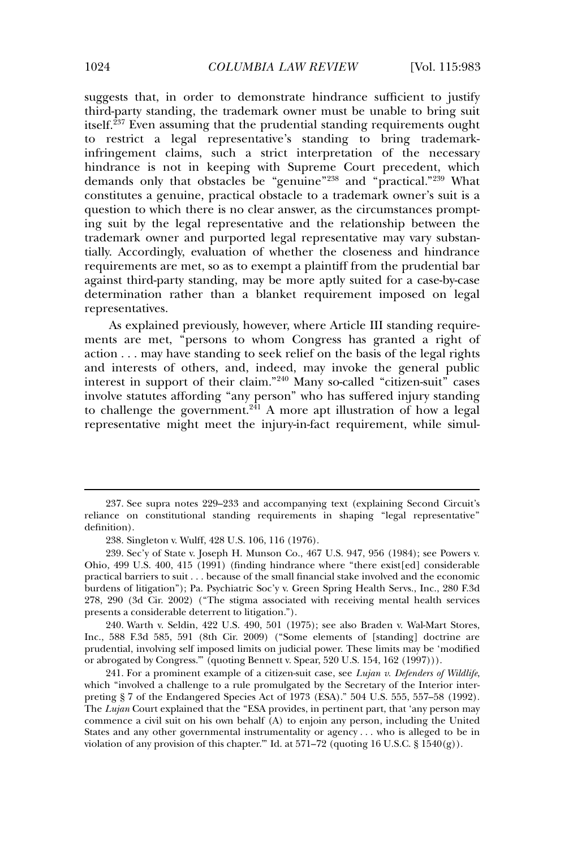suggests that, in order to demonstrate hindrance sufficient to justify third-party standing, the trademark owner must be unable to bring suit itself.<sup>237</sup> Even assuming that the prudential standing requirements ought to restrict a legal representative's standing to bring trademarkinfringement claims, such a strict interpretation of the necessary hindrance is not in keeping with Supreme Court precedent, which demands only that obstacles be "genuine"<sup>238</sup> and "practical."<sup>239</sup> What constitutes a genuine, practical obstacle to a trademark owner's suit is a question to which there is no clear answer, as the circumstances prompting suit by the legal representative and the relationship between the trademark owner and purported legal representative may vary substantially. Accordingly, evaluation of whether the closeness and hindrance requirements are met, so as to exempt a plaintiff from the prudential bar against third-party standing, may be more aptly suited for a case-by-case determination rather than a blanket requirement imposed on legal representatives.

As explained previously, however, where Article III standing requirements are met, "persons to whom Congress has granted a right of action . . . may have standing to seek relief on the basis of the legal rights and interests of others, and, indeed, may invoke the general public interest in support of their claim." <sup>240</sup> Many so-called "citizen-suit" cases involve statutes affording "any person" who has suffered injury standing to challenge the government. $241$  A more apt illustration of how a legal representative might meet the injury-in-fact requirement, while simul-

240. Warth v. Seldin, 422 U.S. 490, 501 (1975); see also Braden v. Wal-Mart Stores, Inc., 588 F.3d 585, 591 (8th Cir. 2009) ("Some elements of [standing] doctrine are prudential, involving self imposed limits on judicial power. These limits may be 'modified or abrogated by Congress.'" (quoting Bennett v. Spear, 520 U.S. 154, 162 (1997))).

241. For a prominent example of a citizen-suit case, see *Lujan v. Defenders of Wildlife*, which "involved a challenge to a rule promulgated by the Secretary of the Interior interpreting § 7 of the Endangered Species Act of 1973 (ESA)." 504 U.S. 555, 557–58 (1992). The *Lujan* Court explained that the "ESA provides, in pertinent part, that 'any person may commence a civil suit on his own behalf (A) to enjoin any person, including the United States and any other governmental instrumentality or agency . . . who is alleged to be in violation of any provision of this chapter."" Id. at  $571-72$  (quoting 16 U.S.C. §  $1540(g)$ ).

<sup>237.</sup> See supra notes 229–233 and accompanying text (explaining Second Circuit's reliance on constitutional standing requirements in shaping "legal representative" definition).

<sup>238.</sup> Singleton v. Wulff, 428 U.S. 106, 116 (1976).

<sup>239.</sup> Sec'y of State v. Joseph H. Munson Co., 467 U.S. 947, 956 (1984); see Powers v. Ohio, 499 U.S. 400, 415 (1991) (finding hindrance where "there exist[ed] considerable practical barriers to suit . . . because of the small financial stake involved and the economic burdens of litigation"); Pa. Psychiatric Soc'y v. Green Spring Health Servs., Inc., 280 F.3d 278, 290 (3d Cir. 2002) ("The stigma associated with receiving mental health services presents a considerable deterrent to litigation.").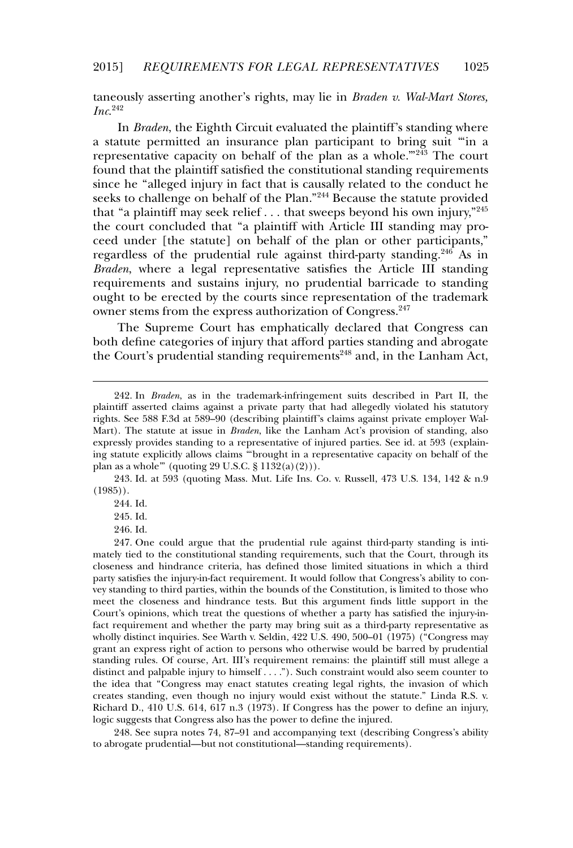taneously asserting another's rights, may lie in *Braden v. Wal-Mart Stores, Inc*. 242

In *Braden*, the Eighth Circuit evaluated the plaintiff's standing where a statute permitted an insurance plan participant to bring suit "'in a representative capacity on behalf of the plan as a whole.'" <sup>243</sup> The court found that the plaintiff satisfied the constitutional standing requirements since he "alleged injury in fact that is causally related to the conduct he seeks to challenge on behalf of the Plan." <sup>244</sup> Because the statute provided that "a plaintiff may seek relief . . . that sweeps beyond his own injury," 245 the court concluded that "a plaintiff with Article III standing may proceed under [the statute] on behalf of the plan or other participants," regardless of the prudential rule against third-party standing.<sup>246</sup> As in *Braden*, where a legal representative satisfies the Article III standing requirements and sustains injury, no prudential barricade to standing ought to be erected by the courts since representation of the trademark owner stems from the express authorization of Congress.<sup>247</sup>

The Supreme Court has emphatically declared that Congress can both define categories of injury that afford parties standing and abrogate the Court's prudential standing requirements<sup>248</sup> and, in the Lanham Act,

243. Id. at 593 (quoting Mass. Mut. Life Ins. Co. v. Russell, 473 U.S. 134, 142 & n.9 (1985)).

248. See supra notes 74, 87–91 and accompanying text (describing Congress's ability to abrogate prudential—but not constitutional—standing requirements).

<sup>242.</sup> In *Braden*, as in the trademark-infringement suits described in Part II, the plaintiff asserted claims against a private party that had allegedly violated his statutory rights. See 588 F.3d at 589–90 (describing plaintiff's claims against private employer Wal-Mart). The statute at issue in *Braden*, like the Lanham Act's provision of standing, also expressly provides standing to a representative of injured parties. See id. at 593 (explaining statute explicitly allows claims "'brought in a representative capacity on behalf of the plan as a whole"" (quoting  $29 \text{ U.S.C. }$ §  $1132(a)(2))$ ).

<sup>244.</sup> Id.

<sup>245.</sup> Id.

<sup>246.</sup> Id.

<sup>247.</sup> One could argue that the prudential rule against third-party standing is intimately tied to the constitutional standing requirements, such that the Court, through its closeness and hindrance criteria, has defined those limited situations in which a third party satisfies the injury-in-fact requirement. It would follow that Congress's ability to convey standing to third parties, within the bounds of the Constitution, is limited to those who meet the closeness and hindrance tests. But this argument finds little support in the Court's opinions, which treat the questions of whether a party has satisfied the injury-infact requirement and whether the party may bring suit as a third-party representative as wholly distinct inquiries. See Warth v. Seldin, 422 U.S. 490, 500–01 (1975) ("Congress may grant an express right of action to persons who otherwise would be barred by prudential standing rules. Of course, Art. III's requirement remains: the plaintiff still must allege a distinct and palpable injury to himself . . . ."). Such constraint would also seem counter to the idea that "Congress may enact statutes creating legal rights, the invasion of which creates standing, even though no injury would exist without the statute." Linda R.S. v. Richard D., 410 U.S. 614, 617 n.3 (1973). If Congress has the power to define an injury, logic suggests that Congress also has the power to define the injured.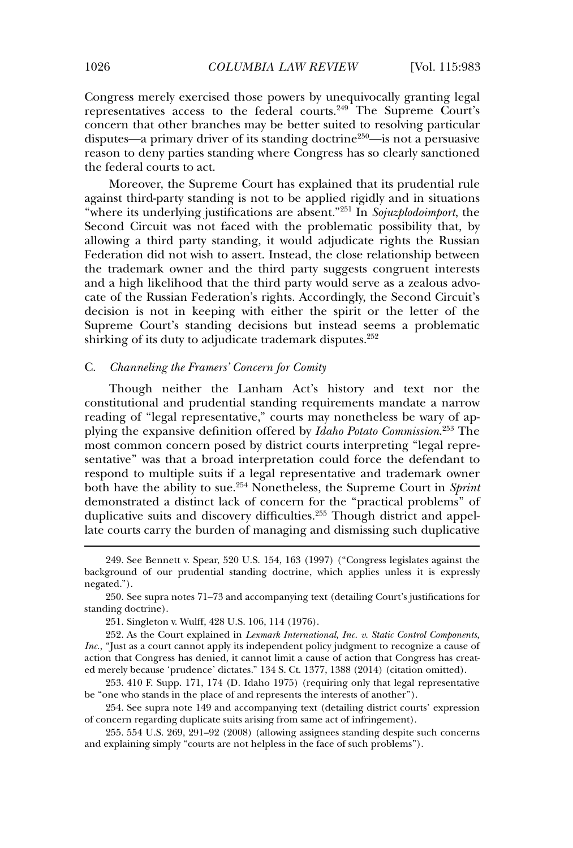Congress merely exercised those powers by unequivocally granting legal representatives access to the federal courts.<sup>249</sup> The Supreme Court's concern that other branches may be better suited to resolving particular disputes—a primary driver of its standing doctrine<sup>250</sup>—is not a persuasive reason to deny parties standing where Congress has so clearly sanctioned the federal courts to act.

Moreover, the Supreme Court has explained that its prudential rule against third-party standing is not to be applied rigidly and in situations "where its underlying justifications are absent." <sup>251</sup> In *Sojuzplodoimport*, the Second Circuit was not faced with the problematic possibility that, by allowing a third party standing, it would adjudicate rights the Russian Federation did not wish to assert. Instead, the close relationship between the trademark owner and the third party suggests congruent interests and a high likelihood that the third party would serve as a zealous advocate of the Russian Federation's rights. Accordingly, the Second Circuit's decision is not in keeping with either the spirit or the letter of the Supreme Court's standing decisions but instead seems a problematic shirking of its duty to adjudicate trademark disputes.<sup>252</sup>

### C. *Channeling the Framers' Concern for Comity*

Though neither the Lanham Act's history and text nor the constitutional and prudential standing requirements mandate a narrow reading of "legal representative," courts may nonetheless be wary of applying the expansive definition offered by *Idaho Potato Commission*. <sup>253</sup> The most common concern posed by district courts interpreting "legal representative" was that a broad interpretation could force the defendant to respond to multiple suits if a legal representative and trademark owner both have the ability to sue.<sup>254</sup> Nonetheless, the Supreme Court in *Sprint* demonstrated a distinct lack of concern for the "practical problems" of duplicative suits and discovery difficulties.<sup>255</sup> Though district and appellate courts carry the burden of managing and dismissing such duplicative

<sup>249.</sup> See Bennett v. Spear, 520 U.S. 154, 163 (1997) ("Congress legislates against the background of our prudential standing doctrine, which applies unless it is expressly negated.").

<sup>250.</sup> See supra notes 71–73 and accompanying text (detailing Court's justifications for standing doctrine).

<sup>251.</sup> Singleton v. Wulff, 428 U.S. 106, 114 (1976).

<sup>252.</sup> As the Court explained in *Lexmark International, Inc. v. Static Control Components, Inc.*, "Just as a court cannot apply its independent policy judgment to recognize a cause of action that Congress has denied, it cannot limit a cause of action that Congress has created merely because 'prudence' dictates." 134 S. Ct. 1377, 1388 (2014) (citation omitted).

<sup>253. 410</sup> F. Supp. 171, 174 (D. Idaho 1975) (requiring only that legal representative be "one who stands in the place of and represents the interests of another").

<sup>254.</sup> See supra note 149 and accompanying text (detailing district courts' expression of concern regarding duplicate suits arising from same act of infringement).

<sup>255. 554</sup> U.S. 269, 291–92 (2008) (allowing assignees standing despite such concerns and explaining simply "courts are not helpless in the face of such problems").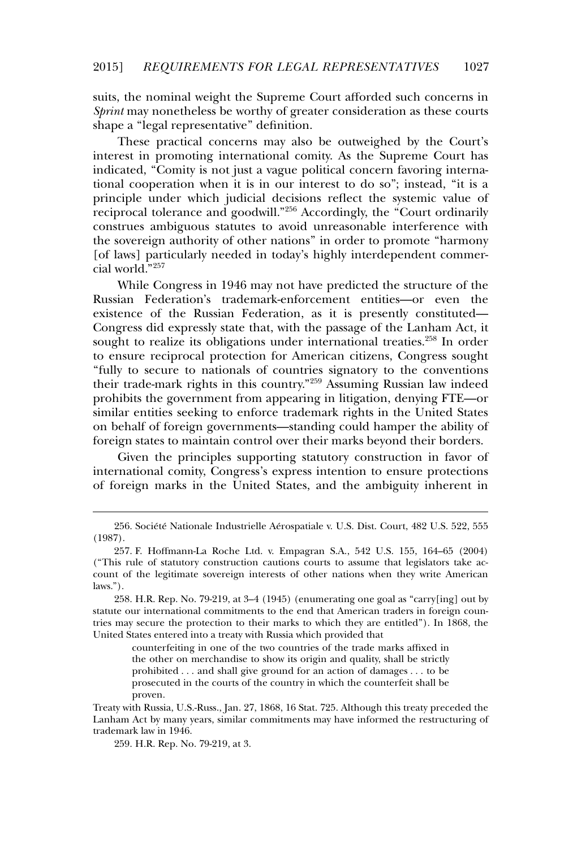suits, the nominal weight the Supreme Court afforded such concerns in *Sprint* may nonetheless be worthy of greater consideration as these courts shape a "legal representative" definition.

These practical concerns may also be outweighed by the Court's interest in promoting international comity. As the Supreme Court has indicated, "Comity is not just a vague political concern favoring international cooperation when it is in our interest to do so"; instead, "it is a principle under which judicial decisions reflect the systemic value of reciprocal tolerance and goodwill." <sup>256</sup> Accordingly, the "Court ordinarily construes ambiguous statutes to avoid unreasonable interference with the sovereign authority of other nations" in order to promote "harmony [of laws] particularly needed in today's highly interdependent commercial world." 257

While Congress in 1946 may not have predicted the structure of the Russian Federation's trademark-enforcement entities—or even the existence of the Russian Federation, as it is presently constituted— Congress did expressly state that, with the passage of the Lanham Act, it sought to realize its obligations under international treaties.<sup>258</sup> In order to ensure reciprocal protection for American citizens, Congress sought "fully to secure to nationals of countries signatory to the conventions their trade-mark rights in this country." <sup>259</sup> Assuming Russian law indeed prohibits the government from appearing in litigation, denying FTE—or similar entities seeking to enforce trademark rights in the United States on behalf of foreign governments—standing could hamper the ability of foreign states to maintain control over their marks beyond their borders.

Given the principles supporting statutory construction in favor of international comity, Congress's express intention to ensure protections of foreign marks in the United States, and the ambiguity inherent in

counterfeiting in one of the two countries of the trade marks affixed in the other on merchandise to show its origin and quality, shall be strictly prohibited . . . and shall give ground for an action of damages . . . to be prosecuted in the courts of the country in which the counterfeit shall be proven.

259. H.R. Rep. No. 79-219, at 3.

<sup>256.</sup> Société Nationale Industrielle Aérospatiale v. U.S. Dist. Court, 482 U.S. 522, 555 (1987).

<sup>257.</sup> F. Hoffmann-La Roche Ltd. v. Empagran S.A., 542 U.S. 155, 164–65 (2004) ("This rule of statutory construction cautions courts to assume that legislators take account of the legitimate sovereign interests of other nations when they write American laws.").

<sup>258.</sup> H.R. Rep. No. 79-219, at 3–4 (1945) (enumerating one goal as "carry[ing] out by statute our international commitments to the end that American traders in foreign countries may secure the protection to their marks to which they are entitled"). In 1868, the United States entered into a treaty with Russia which provided that

Treaty with Russia, U.S.-Russ., Jan. 27, 1868, 16 Stat. 725. Although this treaty preceded the Lanham Act by many years, similar commitments may have informed the restructuring of trademark law in 1946.